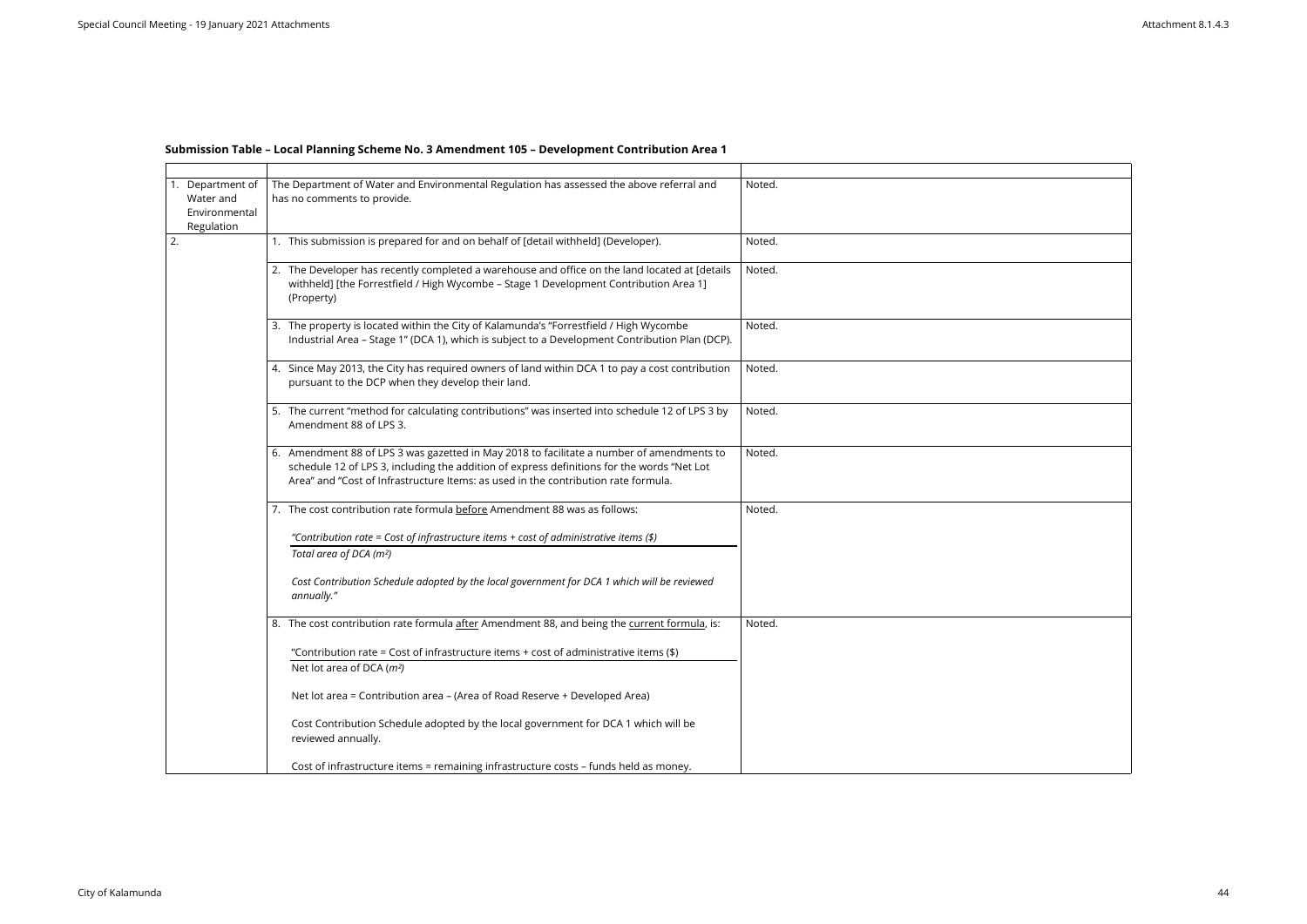## **Submission Table – Local Planning Scheme No. 3 Amendment 105 – Development Contribution Area 1**

| Department of<br>Water and<br>Environmental<br>Regulation | The Department of Water and Environmental Regulation has assessed the above referral and<br>has no comments to provide.                                                                                                                                                       | Noted. |
|-----------------------------------------------------------|-------------------------------------------------------------------------------------------------------------------------------------------------------------------------------------------------------------------------------------------------------------------------------|--------|
| 2.                                                        | 1. This submission is prepared for and on behalf of [detail withheld] (Developer).                                                                                                                                                                                            | Noted. |
|                                                           | 2. The Developer has recently completed a warehouse and office on the land located at [details<br>withheld] [the Forrestfield / High Wycombe - Stage 1 Development Contribution Area 1]<br>(Property)                                                                         | Noted. |
|                                                           | 3. The property is located within the City of Kalamunda's "Forrestfield / High Wycombe<br>Industrial Area - Stage 1" (DCA 1), which is subject to a Development Contribution Plan (DCP).                                                                                      | Noted. |
|                                                           | 4. Since May 2013, the City has required owners of land within DCA 1 to pay a cost contribution<br>pursuant to the DCP when they develop their land.                                                                                                                          | Noted. |
|                                                           | 5. The current "method for calculating contributions" was inserted into schedule 12 of LPS 3 by<br>Amendment 88 of LPS 3.                                                                                                                                                     | Noted. |
|                                                           | 6. Amendment 88 of LPS 3 was gazetted in May 2018 to facilitate a number of amendments to<br>schedule 12 of LPS 3, including the addition of express definitions for the words "Net Lot<br>Area" and "Cost of Infrastructure Items: as used in the contribution rate formula. | Noted. |
|                                                           | 7. The cost contribution rate formula before Amendment 88 was as follows:                                                                                                                                                                                                     | Noted. |
|                                                           | "Contribution rate = Cost of infrastructure items + cost of administrative items (\$)                                                                                                                                                                                         |        |
|                                                           | Total area of DCA (m <sup>2</sup> )                                                                                                                                                                                                                                           |        |
|                                                           | Cost Contribution Schedule adopted by the local government for DCA 1 which will be reviewed<br>annually."                                                                                                                                                                     |        |
|                                                           | 8. The cost contribution rate formula after Amendment 88, and being the current formula, is:                                                                                                                                                                                  | Noted. |
|                                                           | "Contribution rate = Cost of infrastructure items + cost of administrative items $(*)$<br>Net lot area of DCA $(m^2)$                                                                                                                                                         |        |
|                                                           | Net lot area = Contribution area - (Area of Road Reserve + Developed Area)                                                                                                                                                                                                    |        |
|                                                           | Cost Contribution Schedule adopted by the local government for DCA 1 which will be<br>reviewed annually.                                                                                                                                                                      |        |
|                                                           | Cost of infrastructure items = remaining infrastructure costs - funds held as money.                                                                                                                                                                                          |        |

| <u> 1989 - Johann Barn, mars ann an t-Amhair an t-Amhair an t-Amhair an t-Amhair an t-Amhair an t-Amhair an t-Amh</u> |  |  |
|-----------------------------------------------------------------------------------------------------------------------|--|--|
|                                                                                                                       |  |  |
|                                                                                                                       |  |  |
|                                                                                                                       |  |  |
|                                                                                                                       |  |  |
|                                                                                                                       |  |  |
|                                                                                                                       |  |  |
|                                                                                                                       |  |  |
|                                                                                                                       |  |  |
|                                                                                                                       |  |  |
|                                                                                                                       |  |  |
|                                                                                                                       |  |  |
|                                                                                                                       |  |  |
|                                                                                                                       |  |  |
|                                                                                                                       |  |  |
|                                                                                                                       |  |  |
|                                                                                                                       |  |  |
|                                                                                                                       |  |  |
|                                                                                                                       |  |  |
|                                                                                                                       |  |  |
|                                                                                                                       |  |  |
|                                                                                                                       |  |  |
|                                                                                                                       |  |  |
|                                                                                                                       |  |  |
|                                                                                                                       |  |  |
|                                                                                                                       |  |  |
|                                                                                                                       |  |  |
|                                                                                                                       |  |  |
|                                                                                                                       |  |  |
|                                                                                                                       |  |  |
|                                                                                                                       |  |  |
|                                                                                                                       |  |  |
|                                                                                                                       |  |  |
|                                                                                                                       |  |  |
|                                                                                                                       |  |  |
|                                                                                                                       |  |  |
|                                                                                                                       |  |  |
|                                                                                                                       |  |  |
|                                                                                                                       |  |  |
|                                                                                                                       |  |  |
|                                                                                                                       |  |  |
|                                                                                                                       |  |  |
|                                                                                                                       |  |  |
|                                                                                                                       |  |  |
|                                                                                                                       |  |  |
|                                                                                                                       |  |  |
|                                                                                                                       |  |  |
|                                                                                                                       |  |  |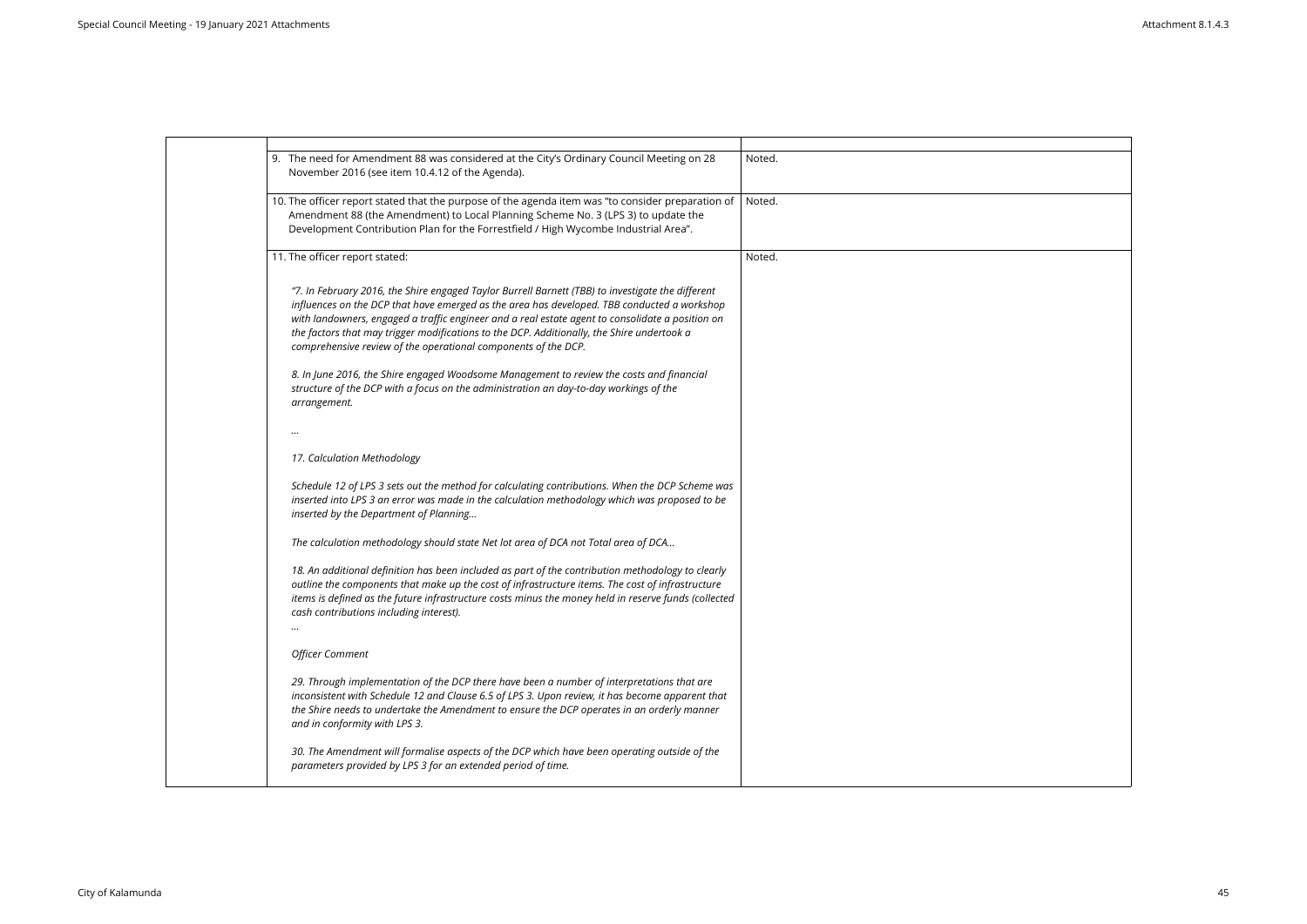| 9. The need for Amendment 88 was considered at the City's Ordinary Council Meeting on 28<br>November 2016 (see item 10.4.12 of the Agenda).                                                                                                                                                                                                                                                                                                                          | Noted. |
|----------------------------------------------------------------------------------------------------------------------------------------------------------------------------------------------------------------------------------------------------------------------------------------------------------------------------------------------------------------------------------------------------------------------------------------------------------------------|--------|
| 10. The officer report stated that the purpose of the agenda item was "to consider preparation of<br>Amendment 88 (the Amendment) to Local Planning Scheme No. 3 (LPS 3) to update the<br>Development Contribution Plan for the Forrestfield / High Wycombe Industrial Area".                                                                                                                                                                                        | Noted. |
| 11. The officer report stated:                                                                                                                                                                                                                                                                                                                                                                                                                                       | Noted. |
| "7. In February 2016, the Shire engaged Taylor Burrell Barnett (TBB) to investigate the different<br>influences on the DCP that have emerged as the area has developed. TBB conducted a workshop<br>with landowners, engaged a traffic engineer and a real estate agent to consolidate a position on<br>the factors that may trigger modifications to the DCP. Additionally, the Shire undertook a<br>comprehensive review of the operational components of the DCP. |        |
| 8. In June 2016, the Shire engaged Woodsome Management to review the costs and financial<br>structure of the DCP with a focus on the administration an day-to-day workings of the<br>arrangement.                                                                                                                                                                                                                                                                    |        |
| $\cdots$                                                                                                                                                                                                                                                                                                                                                                                                                                                             |        |
| 17. Calculation Methodology                                                                                                                                                                                                                                                                                                                                                                                                                                          |        |
| Schedule 12 of LPS 3 sets out the method for calculating contributions. When the DCP Scheme was<br>inserted into LPS 3 an error was made in the calculation methodology which was proposed to be<br>inserted by the Department of Planning                                                                                                                                                                                                                           |        |
| The calculation methodology should state Net lot area of DCA not Total area of DCA                                                                                                                                                                                                                                                                                                                                                                                   |        |
| 18. An additional definition has been included as part of the contribution methodology to clearly<br>outline the components that make up the cost of infrastructure items. The cost of infrastructure<br>items is defined as the future infrastructure costs minus the money held in reserve funds (collected<br>cash contributions including interest).                                                                                                             |        |
| <b>Officer Comment</b>                                                                                                                                                                                                                                                                                                                                                                                                                                               |        |
| 29. Through implementation of the DCP there have been a number of interpretations that are<br>inconsistent with Schedule 12 and Clause 6.5 of LPS 3. Upon review, it has become apparent that<br>the Shire needs to undertake the Amendment to ensure the DCP operates in an orderly manner<br>and in conformity with LPS 3.                                                                                                                                         |        |
| 30. The Amendment will formalise aspects of the DCP which have been operating outside of the<br>parameters provided by LPS 3 for an extended period of time.                                                                                                                                                                                                                                                                                                         |        |
|                                                                                                                                                                                                                                                                                                                                                                                                                                                                      |        |

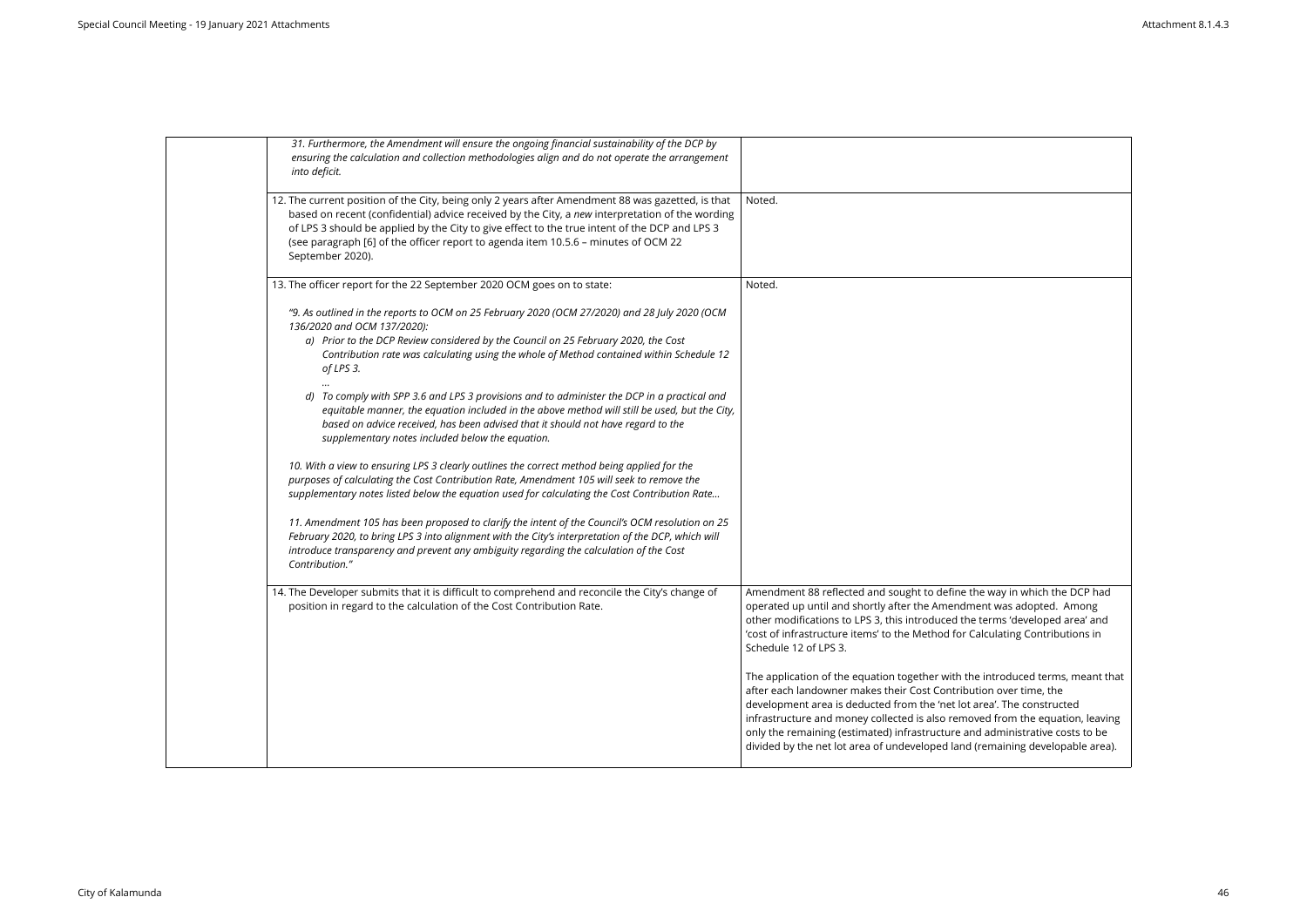| 31. Furthermore, the Amendment will ensure the ongoing financial sustainability of the DCP by<br>ensuring the calculation and collection methodologies align and do not operate the arrangement<br>into deficit.                                                                                                                                                                                                |                                                                                                                                                                                                                                                                                                                            |
|-----------------------------------------------------------------------------------------------------------------------------------------------------------------------------------------------------------------------------------------------------------------------------------------------------------------------------------------------------------------------------------------------------------------|----------------------------------------------------------------------------------------------------------------------------------------------------------------------------------------------------------------------------------------------------------------------------------------------------------------------------|
| 12. The current position of the City, being only 2 years after Amendment 88 was gazetted, is that<br>based on recent (confidential) advice received by the City, a new interpretation of the wording<br>of LPS 3 should be applied by the City to give effect to the true intent of the DCP and LPS 3<br>(see paragraph [6] of the officer report to agenda item 10.5.6 - minutes of OCM 22<br>September 2020). | Noted.                                                                                                                                                                                                                                                                                                                     |
| 13. The officer report for the 22 September 2020 OCM goes on to state:                                                                                                                                                                                                                                                                                                                                          | Noted.                                                                                                                                                                                                                                                                                                                     |
| "9. As outlined in the reports to OCM on 25 February 2020 (OCM 27/2020) and 28 July 2020 (OCM<br>136/2020 and OCM 137/2020):<br>a) Prior to the DCP Review considered by the Council on 25 February 2020, the Cost<br>Contribution rate was calculating using the whole of Method contained within Schedule 12<br>of LPS 3.                                                                                     |                                                                                                                                                                                                                                                                                                                            |
| d) To comply with SPP 3.6 and LPS 3 provisions and to administer the DCP in a practical and<br>equitable manner, the equation included in the above method will still be used, but the City,<br>based on advice received, has been advised that it should not have regard to the<br>supplementary notes included below the equation.                                                                            |                                                                                                                                                                                                                                                                                                                            |
| 10. With a view to ensuring LPS 3 clearly outlines the correct method being applied for the<br>purposes of calculating the Cost Contribution Rate, Amendment 105 will seek to remove the<br>supplementary notes listed below the equation used for calculating the Cost Contribution Rate                                                                                                                       |                                                                                                                                                                                                                                                                                                                            |
| 11. Amendment 105 has been proposed to clarify the intent of the Council's OCM resolution on 25<br>February 2020, to bring LPS 3 into alignment with the City's interpretation of the DCP, which will<br>introduce transparency and prevent any ambiguity regarding the calculation of the Cost<br>Contribution."                                                                                               |                                                                                                                                                                                                                                                                                                                            |
| 14. The Developer submits that it is difficult to comprehend and reconcile the City's change of<br>position in regard to the calculation of the Cost Contribution Rate.                                                                                                                                                                                                                                         | Amendment 88 reflected and sought to define the<br>operated up until and shortly after the Amendme<br>other modifications to LPS 3, this introduced the t<br>'cost of infrastructure items' to the Method for Ca<br>Schedule 12 of LPS 3.                                                                                  |
|                                                                                                                                                                                                                                                                                                                                                                                                                 | The application of the equation together with the<br>after each landowner makes their Cost Contributi<br>development area is deducted from the 'net lot ar<br>infrastructure and money collected is also remove<br>only the remaining (estimated) infrastructure and<br>divided by the net lot area of undeveloped land (r |
|                                                                                                                                                                                                                                                                                                                                                                                                                 |                                                                                                                                                                                                                                                                                                                            |

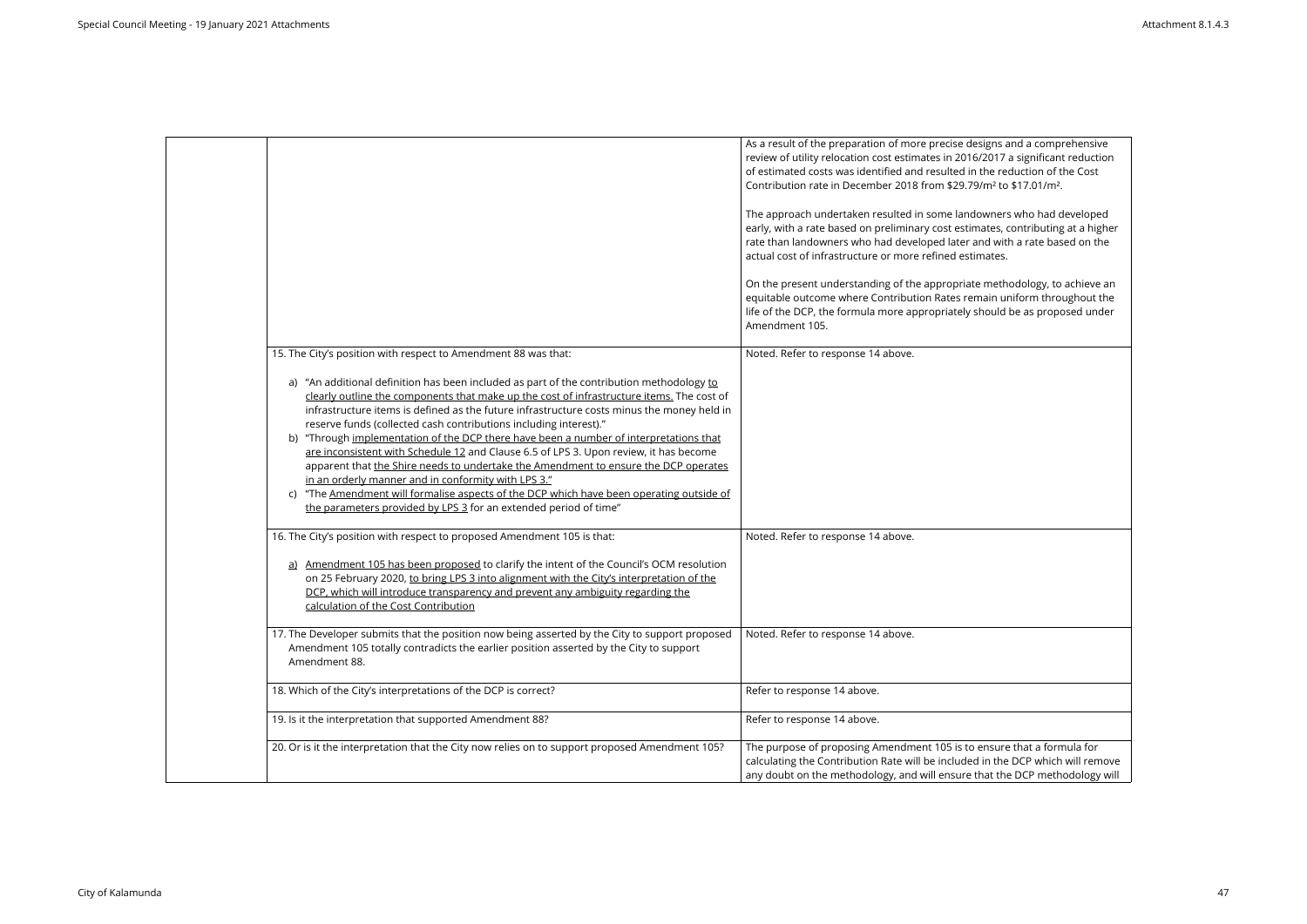|                                                                                                                                                                                                                                                                                                                                                                                                                                                                                                                                                                                                                                                                                                                                                                                                                                                                                                                              | As a result of the preparation of more precise designs and a comprehensive<br>review of utility relocation cost estimates in 2016/2017 a significant reduction<br>of estimated costs was identified and resulted in the reduction of the Cost<br>Contribution rate in December 2018 from \$29.79/m <sup>2</sup> to \$17.01/m <sup>2</sup> .<br>The approach undertaken resulted in some landowners who had developed<br>early, with a rate based on preliminary cost estimates, contributing at a higher<br>rate than landowners who had developed later and with a rate based on the<br>actual cost of infrastructure or more refined estimates.<br>On the present understanding of the appropriate methodology, to achieve an<br>equitable outcome where Contribution Rates remain uniform throughout the<br>life of the DCP, the formula more appropriately should be as proposed under<br>Amendment 105. |
|------------------------------------------------------------------------------------------------------------------------------------------------------------------------------------------------------------------------------------------------------------------------------------------------------------------------------------------------------------------------------------------------------------------------------------------------------------------------------------------------------------------------------------------------------------------------------------------------------------------------------------------------------------------------------------------------------------------------------------------------------------------------------------------------------------------------------------------------------------------------------------------------------------------------------|--------------------------------------------------------------------------------------------------------------------------------------------------------------------------------------------------------------------------------------------------------------------------------------------------------------------------------------------------------------------------------------------------------------------------------------------------------------------------------------------------------------------------------------------------------------------------------------------------------------------------------------------------------------------------------------------------------------------------------------------------------------------------------------------------------------------------------------------------------------------------------------------------------------|
|                                                                                                                                                                                                                                                                                                                                                                                                                                                                                                                                                                                                                                                                                                                                                                                                                                                                                                                              |                                                                                                                                                                                                                                                                                                                                                                                                                                                                                                                                                                                                                                                                                                                                                                                                                                                                                                              |
|                                                                                                                                                                                                                                                                                                                                                                                                                                                                                                                                                                                                                                                                                                                                                                                                                                                                                                                              |                                                                                                                                                                                                                                                                                                                                                                                                                                                                                                                                                                                                                                                                                                                                                                                                                                                                                                              |
| 15. The City's position with respect to Amendment 88 was that:<br>a) "An additional definition has been included as part of the contribution methodology to<br>clearly outline the components that make up the cost of infrastructure items. The cost of<br>infrastructure items is defined as the future infrastructure costs minus the money held in<br>reserve funds (collected cash contributions including interest)."<br>b) "Through implementation of the DCP there have been a number of interpretations that<br>are inconsistent with Schedule 12 and Clause 6.5 of LPS 3. Upon review, it has become<br>apparent that the Shire needs to undertake the Amendment to ensure the DCP operates<br>in an orderly manner and in conformity with LPS 3."<br>c) "The Amendment will formalise aspects of the DCP which have been operating outside of<br>the parameters provided by LPS 3 for an extended period of time" | Noted. Refer to response 14 above.                                                                                                                                                                                                                                                                                                                                                                                                                                                                                                                                                                                                                                                                                                                                                                                                                                                                           |
| 16. The City's position with respect to proposed Amendment 105 is that:<br>a) Amendment 105 has been proposed to clarify the intent of the Council's OCM resolution<br>on 25 February 2020, to bring LPS 3 into alignment with the City's interpretation of the<br>DCP, which will introduce transparency and prevent any ambiguity regarding the<br>calculation of the Cost Contribution                                                                                                                                                                                                                                                                                                                                                                                                                                                                                                                                    | Noted. Refer to response 14 above.                                                                                                                                                                                                                                                                                                                                                                                                                                                                                                                                                                                                                                                                                                                                                                                                                                                                           |
| 17. The Developer submits that the position now being asserted by the City to support proposed<br>Amendment 105 totally contradicts the earlier position asserted by the City to support<br>Amendment 88.                                                                                                                                                                                                                                                                                                                                                                                                                                                                                                                                                                                                                                                                                                                    | Noted. Refer to response 14 above.                                                                                                                                                                                                                                                                                                                                                                                                                                                                                                                                                                                                                                                                                                                                                                                                                                                                           |
| 18. Which of the City's interpretations of the DCP is correct?                                                                                                                                                                                                                                                                                                                                                                                                                                                                                                                                                                                                                                                                                                                                                                                                                                                               | Refer to response 14 above.                                                                                                                                                                                                                                                                                                                                                                                                                                                                                                                                                                                                                                                                                                                                                                                                                                                                                  |
| 19. Is it the interpretation that supported Amendment 88?                                                                                                                                                                                                                                                                                                                                                                                                                                                                                                                                                                                                                                                                                                                                                                                                                                                                    | Refer to response 14 above.                                                                                                                                                                                                                                                                                                                                                                                                                                                                                                                                                                                                                                                                                                                                                                                                                                                                                  |
| 20. Or is it the interpretation that the City now relies on to support proposed Amendment 105?                                                                                                                                                                                                                                                                                                                                                                                                                                                                                                                                                                                                                                                                                                                                                                                                                               | The purpose of proposing Amendment 105 is to ensure that a formula for<br>calculating the Contribution Rate will be included in the DCP which will remove<br>any doubt on the methodology, and will ensure that the DCP methodology will                                                                                                                                                                                                                                                                                                                                                                                                                                                                                                                                                                                                                                                                     |

| gns and a comprehensive<br>017 a significant reduction<br>e reduction of the Cost<br>1 <sup>2</sup> to \$17.01/m <sup>2</sup> . |
|---------------------------------------------------------------------------------------------------------------------------------|
| mers who had developed<br>tes, contributing at a higher<br>l with a rate based on the<br>ates.                                  |
| nethodology, to achieve an<br>in uniform throughout the<br>ould be as proposed under                                            |
|                                                                                                                                 |
|                                                                                                                                 |
|                                                                                                                                 |
|                                                                                                                                 |
|                                                                                                                                 |
|                                                                                                                                 |
| sure that a formula for<br>the DCP which will remove<br>it the DCP methodology will                                             |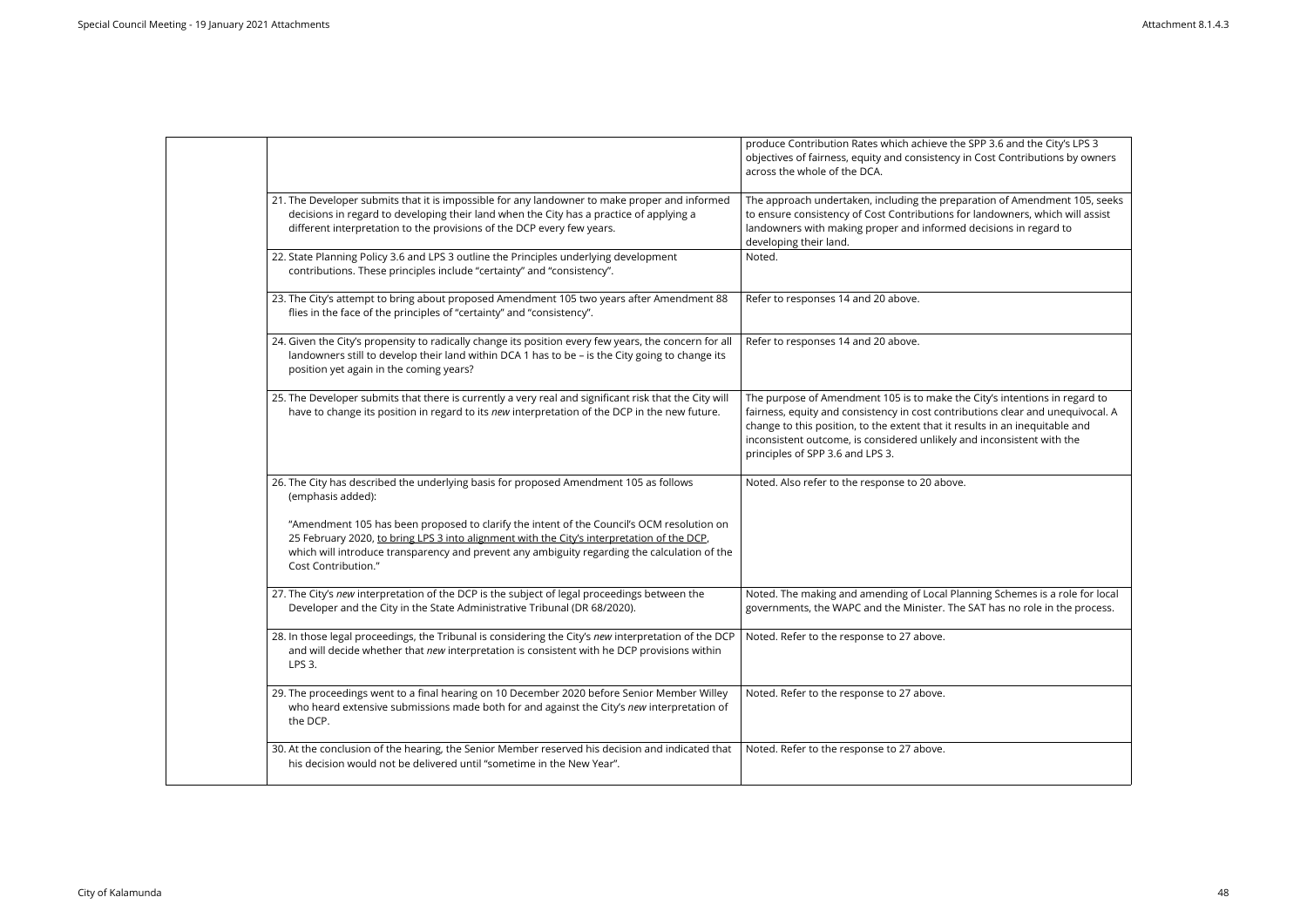|                                                                                                                                                                                                                                                                                                                       | produce Contribution Rates which achieve the SPP 3.6 and the City's LPS 3<br>objectives of fairness, equity and consistency in Cost Contributions by owners<br>across the whole of the DCA.                                                                                                                                                                 |
|-----------------------------------------------------------------------------------------------------------------------------------------------------------------------------------------------------------------------------------------------------------------------------------------------------------------------|-------------------------------------------------------------------------------------------------------------------------------------------------------------------------------------------------------------------------------------------------------------------------------------------------------------------------------------------------------------|
| 21. The Developer submits that it is impossible for any landowner to make proper and informed<br>decisions in regard to developing their land when the City has a practice of applying a<br>different interpretation to the provisions of the DCP every few years.                                                    | The approach undertaken, including the preparation of Amendment 105, seeks<br>to ensure consistency of Cost Contributions for landowners, which will assist<br>landowners with making proper and informed decisions in regard to<br>developing their land.                                                                                                  |
| 22. State Planning Policy 3.6 and LPS 3 outline the Principles underlying development<br>contributions. These principles include "certainty" and "consistency".                                                                                                                                                       | Noted.                                                                                                                                                                                                                                                                                                                                                      |
| 23. The City's attempt to bring about proposed Amendment 105 two years after Amendment 88<br>flies in the face of the principles of "certainty" and "consistency".                                                                                                                                                    | Refer to responses 14 and 20 above.                                                                                                                                                                                                                                                                                                                         |
| 24. Given the City's propensity to radically change its position every few years, the concern for all<br>landowners still to develop their land within DCA 1 has to be - is the City going to change its<br>position yet again in the coming years?                                                                   | Refer to responses 14 and 20 above.                                                                                                                                                                                                                                                                                                                         |
| 25. The Developer submits that there is currently a very real and significant risk that the City will<br>have to change its position in regard to its new interpretation of the DCP in the new future.                                                                                                                | The purpose of Amendment 105 is to make the City's intentions in regard to<br>fairness, equity and consistency in cost contributions clear and unequivocal. A<br>change to this position, to the extent that it results in an inequitable and<br>inconsistent outcome, is considered unlikely and inconsistent with the<br>principles of SPP 3.6 and LPS 3. |
| 26. The City has described the underlying basis for proposed Amendment 105 as follows<br>(emphasis added):                                                                                                                                                                                                            | Noted. Also refer to the response to 20 above.                                                                                                                                                                                                                                                                                                              |
| "Amendment 105 has been proposed to clarify the intent of the Council's OCM resolution on<br>25 February 2020, to bring LPS 3 into alignment with the City's interpretation of the DCP,<br>which will introduce transparency and prevent any ambiguity regarding the calculation of the<br><b>Cost Contribution."</b> |                                                                                                                                                                                                                                                                                                                                                             |
| 27. The City's new interpretation of the DCP is the subject of legal proceedings between the<br>Developer and the City in the State Administrative Tribunal (DR 68/2020).                                                                                                                                             | Noted. The making and amending of Local Planning Schemes is a role for local<br>governments, the WAPC and the Minister. The SAT has no role in the process.                                                                                                                                                                                                 |
| 28. In those legal proceedings, the Tribunal is considering the City's new interpretation of the DCP<br>and will decide whether that new interpretation is consistent with he DCP provisions within<br>LPS 3.                                                                                                         | Noted. Refer to the response to 27 above.                                                                                                                                                                                                                                                                                                                   |
| 29. The proceedings went to a final hearing on 10 December 2020 before Senior Member Willey<br>who heard extensive submissions made both for and against the City's new interpretation of<br>the DCP.                                                                                                                 | Noted. Refer to the response to 27 above.                                                                                                                                                                                                                                                                                                                   |
| 30. At the conclusion of the hearing, the Senior Member reserved his decision and indicated that<br>his decision would not be delivered until "sometime in the New Year".                                                                                                                                             | Noted. Refer to the response to 27 above.                                                                                                                                                                                                                                                                                                                   |
|                                                                                                                                                                                                                                                                                                                       |                                                                                                                                                                                                                                                                                                                                                             |

| 3.6 and the City's LPS 3      |
|-------------------------------|
| st Contributions by owners    |
|                               |
|                               |
| on of Amendment 105, seeks    |
|                               |
| downers, which will assist    |
| isions in regard to           |
|                               |
|                               |
|                               |
|                               |
|                               |
|                               |
|                               |
|                               |
|                               |
|                               |
|                               |
|                               |
| y's intentions in regard to   |
|                               |
| ns clear and unequivocal. A   |
| in an inequitable and         |
| consistent with the           |
|                               |
|                               |
|                               |
|                               |
|                               |
|                               |
|                               |
|                               |
|                               |
|                               |
|                               |
| g Schemes is a role for local |
| has no role in the process.   |
|                               |
|                               |
|                               |
|                               |
|                               |
|                               |
|                               |
|                               |
|                               |
|                               |
|                               |
|                               |
|                               |
|                               |
|                               |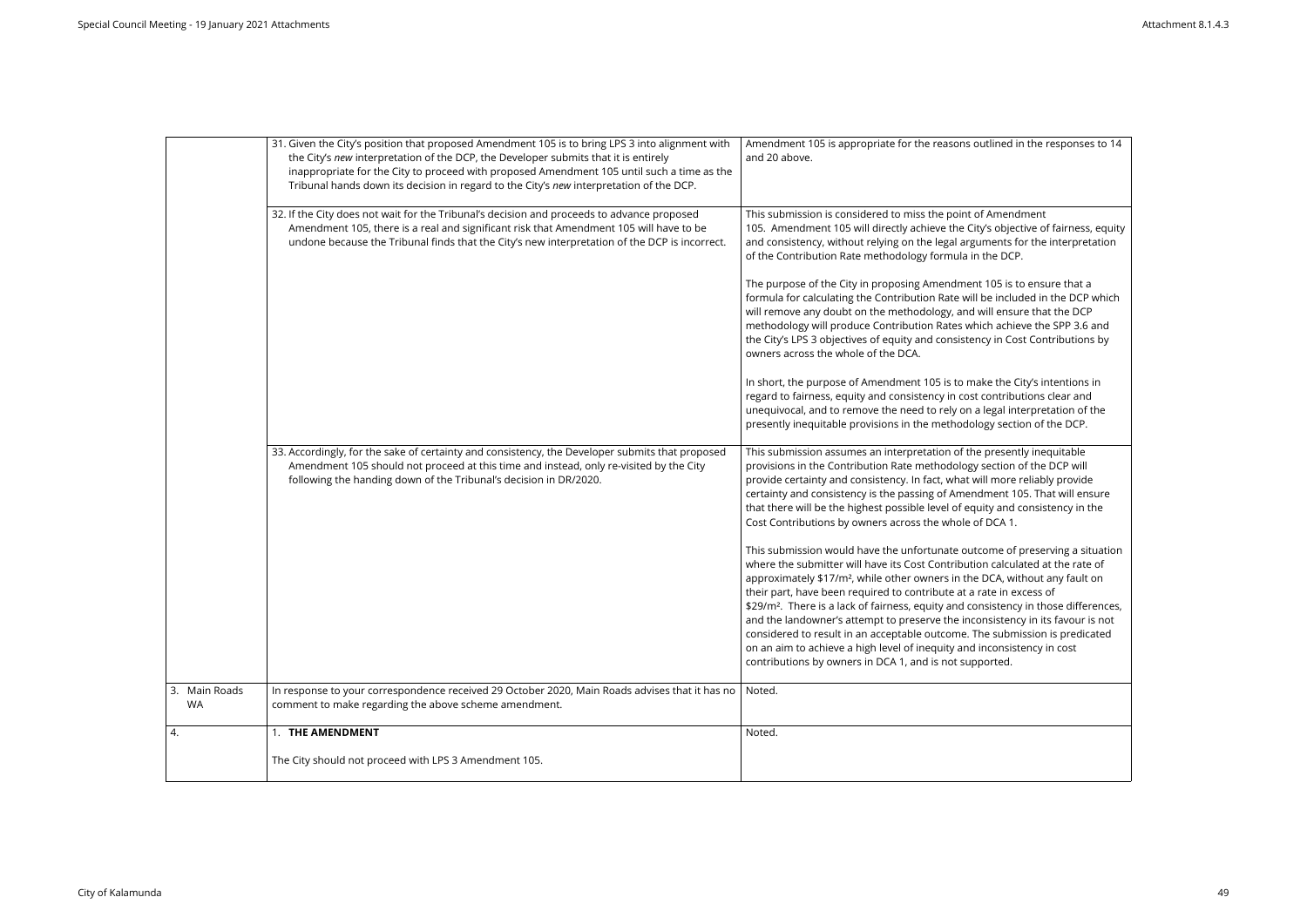|                            | 31. Given the City's position that proposed Amendment 105 is to bring LPS 3 into alignment with<br>the City's new interpretation of the DCP, the Developer submits that it is entirely<br>inappropriate for the City to proceed with proposed Amendment 105 until such a time as the<br>Tribunal hands down its decision in regard to the City's new interpretation of the DCP. | Amendment 105 is appropriate for the reasons outlined in the responses to 14<br>and 20 above.                                                                                                                                                                                                                                                                                                                                                                                                                                                                                                                                                                                                                                             |
|----------------------------|---------------------------------------------------------------------------------------------------------------------------------------------------------------------------------------------------------------------------------------------------------------------------------------------------------------------------------------------------------------------------------|-------------------------------------------------------------------------------------------------------------------------------------------------------------------------------------------------------------------------------------------------------------------------------------------------------------------------------------------------------------------------------------------------------------------------------------------------------------------------------------------------------------------------------------------------------------------------------------------------------------------------------------------------------------------------------------------------------------------------------------------|
|                            | 32. If the City does not wait for the Tribunal's decision and proceeds to advance proposed<br>Amendment 105, there is a real and significant risk that Amendment 105 will have to be<br>undone because the Tribunal finds that the City's new interpretation of the DCP is incorrect.                                                                                           | This submission is considered to miss the point of Amendment<br>105. Amendment 105 will directly achieve the City's objective of fairness, equity<br>and consistency, without relying on the legal arguments for the interpretation<br>of the Contribution Rate methodology formula in the DCP.                                                                                                                                                                                                                                                                                                                                                                                                                                           |
|                            |                                                                                                                                                                                                                                                                                                                                                                                 | The purpose of the City in proposing Amendment 105 is to ensure that a<br>formula for calculating the Contribution Rate will be included in the DCP which<br>will remove any doubt on the methodology, and will ensure that the DCP<br>methodology will produce Contribution Rates which achieve the SPP 3.6 and<br>the City's LPS 3 objectives of equity and consistency in Cost Contributions by<br>owners across the whole of the DCA.                                                                                                                                                                                                                                                                                                 |
|                            |                                                                                                                                                                                                                                                                                                                                                                                 | In short, the purpose of Amendment 105 is to make the City's intentions in<br>regard to fairness, equity and consistency in cost contributions clear and<br>unequivocal, and to remove the need to rely on a legal interpretation of the<br>presently inequitable provisions in the methodology section of the DCP.                                                                                                                                                                                                                                                                                                                                                                                                                       |
|                            | 33. Accordingly, for the sake of certainty and consistency, the Developer submits that proposed<br>Amendment 105 should not proceed at this time and instead, only re-visited by the City<br>following the handing down of the Tribunal's decision in DR/2020.                                                                                                                  | This submission assumes an interpretation of the presently inequitable<br>provisions in the Contribution Rate methodology section of the DCP will<br>provide certainty and consistency. In fact, what will more reliably provide<br>certainty and consistency is the passing of Amendment 105. That will ensure<br>that there will be the highest possible level of equity and consistency in the<br>Cost Contributions by owners across the whole of DCA 1.                                                                                                                                                                                                                                                                              |
|                            |                                                                                                                                                                                                                                                                                                                                                                                 | This submission would have the unfortunate outcome of preserving a situation<br>where the submitter will have its Cost Contribution calculated at the rate of<br>approximately \$17/m <sup>2</sup> , while other owners in the DCA, without any fault on<br>their part, have been required to contribute at a rate in excess of<br>\$29/m <sup>2</sup> . There is a lack of fairness, equity and consistency in those differences,<br>and the landowner's attempt to preserve the inconsistency in its favour is not<br>considered to result in an acceptable outcome. The submission is predicated<br>on an aim to achieve a high level of inequity and inconsistency in cost<br>contributions by owners in DCA 1, and is not supported. |
| 3. Main Roads<br><b>WA</b> | In response to your correspondence received 29 October 2020, Main Roads advises that it has no<br>comment to make regarding the above scheme amendment.                                                                                                                                                                                                                         | Noted.                                                                                                                                                                                                                                                                                                                                                                                                                                                                                                                                                                                                                                                                                                                                    |
| 4.                         | 1. THE AMENDMENT                                                                                                                                                                                                                                                                                                                                                                | Noted.                                                                                                                                                                                                                                                                                                                                                                                                                                                                                                                                                                                                                                                                                                                                    |
|                            | The City should not proceed with LPS 3 Amendment 105.                                                                                                                                                                                                                                                                                                                           |                                                                                                                                                                                                                                                                                                                                                                                                                                                                                                                                                                                                                                                                                                                                           |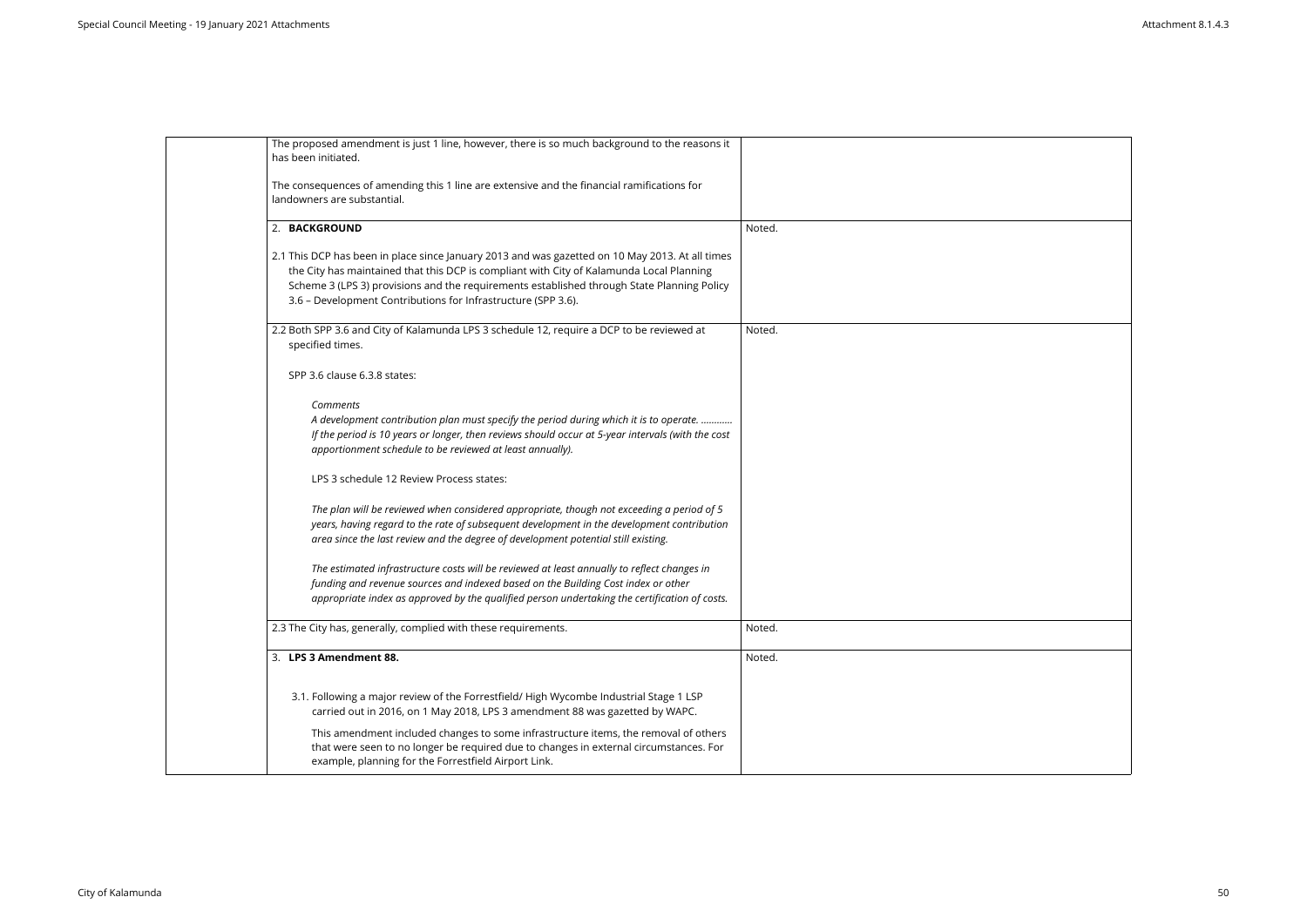| The proposed amendment is just 1 line, however, there is so much background to the reasons it<br>has been initiated.                                                                                                                                                                                                                                       |        |
|------------------------------------------------------------------------------------------------------------------------------------------------------------------------------------------------------------------------------------------------------------------------------------------------------------------------------------------------------------|--------|
| The consequences of amending this 1 line are extensive and the financial ramifications for<br>landowners are substantial.                                                                                                                                                                                                                                  |        |
| 2. BACKGROUND                                                                                                                                                                                                                                                                                                                                              | Noted. |
| 2.1 This DCP has been in place since January 2013 and was gazetted on 10 May 2013. At all times<br>the City has maintained that this DCP is compliant with City of Kalamunda Local Planning<br>Scheme 3 (LPS 3) provisions and the requirements established through State Planning Policy<br>3.6 - Development Contributions for Infrastructure (SPP 3.6). |        |
| 2.2 Both SPP 3.6 and City of Kalamunda LPS 3 schedule 12, require a DCP to be reviewed at<br>specified times.                                                                                                                                                                                                                                              | Noted. |
| SPP 3.6 clause 6.3.8 states:                                                                                                                                                                                                                                                                                                                               |        |
| Comments<br>A development contribution plan must specify the period during which it is to operate.<br>If the period is 10 years or longer, then reviews should occur at 5-year intervals (with the cost<br>apportionment schedule to be reviewed at least annually).                                                                                       |        |
| LPS 3 schedule 12 Review Process states:                                                                                                                                                                                                                                                                                                                   |        |
| The plan will be reviewed when considered appropriate, though not exceeding a period of 5<br>years, having regard to the rate of subsequent development in the development contribution<br>area since the last review and the degree of development potential still existing.                                                                              |        |
| The estimated infrastructure costs will be reviewed at least annually to reflect changes in<br>funding and revenue sources and indexed based on the Building Cost index or other<br>appropriate index as approved by the qualified person undertaking the certification of costs.                                                                          |        |
| 2.3 The City has, generally, complied with these requirements.                                                                                                                                                                                                                                                                                             | Noted. |
| 3. LPS 3 Amendment 88.                                                                                                                                                                                                                                                                                                                                     | Noted. |
| 3.1. Following a major review of the Forrestfield/ High Wycombe Industrial Stage 1 LSP<br>carried out in 2016, on 1 May 2018, LPS 3 amendment 88 was gazetted by WAPC.                                                                                                                                                                                     |        |
| This amendment included changes to some infrastructure items, the removal of others<br>that were seen to no longer be required due to changes in external circumstances. For<br>example, planning for the Forrestfield Airport Link.                                                                                                                       |        |

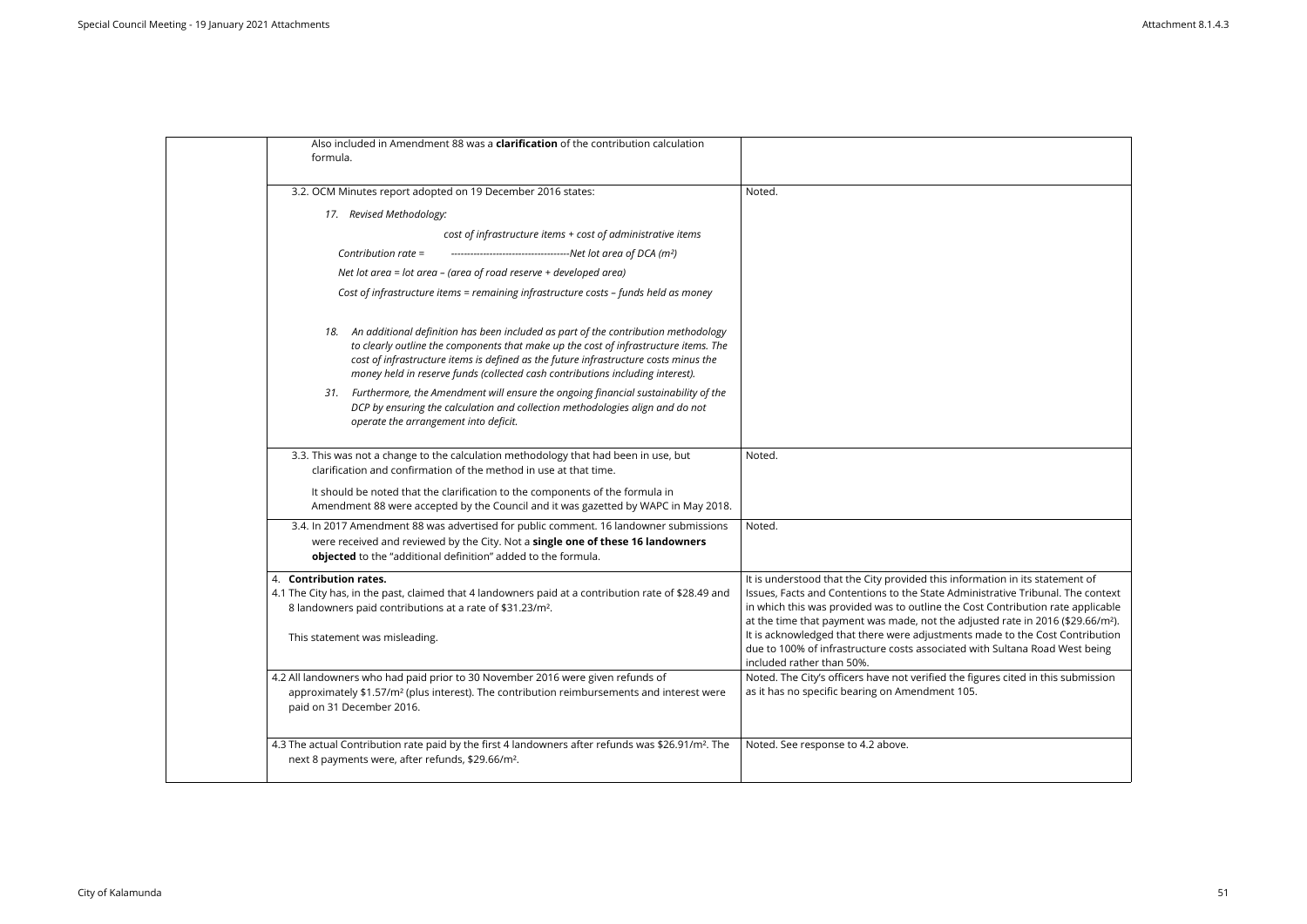| Also included in Amendment 88 was a <b>clarification</b> of the contribution calculation<br>formula.                                                                                                                                                                                                                                                        |                                                                                                                                                                                                                                                                     |
|-------------------------------------------------------------------------------------------------------------------------------------------------------------------------------------------------------------------------------------------------------------------------------------------------------------------------------------------------------------|---------------------------------------------------------------------------------------------------------------------------------------------------------------------------------------------------------------------------------------------------------------------|
| 3.2. OCM Minutes report adopted on 19 December 2016 states:                                                                                                                                                                                                                                                                                                 | Noted.                                                                                                                                                                                                                                                              |
| 17. Revised Methodology:                                                                                                                                                                                                                                                                                                                                    |                                                                                                                                                                                                                                                                     |
| cost of infrastructure items + cost of administrative items                                                                                                                                                                                                                                                                                                 |                                                                                                                                                                                                                                                                     |
| Contribution rate =<br>-------------------------------------Net lot area of DCA (m <sup>2</sup> )                                                                                                                                                                                                                                                           |                                                                                                                                                                                                                                                                     |
| Net lot area = lot area $-$ (area of road reserve $+$ developed area)                                                                                                                                                                                                                                                                                       |                                                                                                                                                                                                                                                                     |
| Cost of infrastructure items = remaining infrastructure costs - funds held as money                                                                                                                                                                                                                                                                         |                                                                                                                                                                                                                                                                     |
| An additional definition has been included as part of the contribution methodology<br>18.<br>to clearly outline the components that make up the cost of infrastructure items. The<br>cost of infrastructure items is defined as the future infrastructure costs minus the<br>money held in reserve funds (collected cash contributions including interest). |                                                                                                                                                                                                                                                                     |
| Furthermore, the Amendment will ensure the ongoing financial sustainability of the<br>31.<br>DCP by ensuring the calculation and collection methodologies align and do not<br>operate the arrangement into deficit.                                                                                                                                         |                                                                                                                                                                                                                                                                     |
| 3.3. This was not a change to the calculation methodology that had been in use, but<br>clarification and confirmation of the method in use at that time.                                                                                                                                                                                                    | Noted.                                                                                                                                                                                                                                                              |
| It should be noted that the clarification to the components of the formula in<br>Amendment 88 were accepted by the Council and it was gazetted by WAPC in May 2018.                                                                                                                                                                                         |                                                                                                                                                                                                                                                                     |
| 3.4. In 2017 Amendment 88 was advertised for public comment. 16 landowner submissions                                                                                                                                                                                                                                                                       | Noted.                                                                                                                                                                                                                                                              |
| were received and reviewed by the City. Not a single one of these 16 landowners<br>objected to the "additional definition" added to the formula.                                                                                                                                                                                                            |                                                                                                                                                                                                                                                                     |
| 4. Contribution rates.<br>4.1 The City has, in the past, claimed that 4 landowners paid at a contribution rate of \$28.49 and<br>8 landowners paid contributions at a rate of \$31.23/m <sup>2</sup> .<br>This statement was misleading.                                                                                                                    | It is understood that the City provided this inform<br>Issues, Facts and Contentions to the State Admin<br>in which this was provided was to outline the Cos<br>at the time that payment was made, not the adju<br>It is acknowledged that there were adjustments r |
|                                                                                                                                                                                                                                                                                                                                                             | due to 100% of infrastructure costs associated wi<br>included rather than 50%.                                                                                                                                                                                      |
| 4.2 All landowners who had paid prior to 30 November 2016 were given refunds of<br>approximately \$1.57/m <sup>2</sup> (plus interest). The contribution reimbursements and interest were<br>paid on 31 December 2016.                                                                                                                                      | Noted. The City's officers have not verified the fig<br>as it has no specific bearing on Amendment 105.                                                                                                                                                             |
| 4.3 The actual Contribution rate paid by the first 4 landowners after refunds was \$26.91/m <sup>2</sup> . The<br>next 8 payments were, after refunds, \$29.66/m <sup>2</sup> .                                                                                                                                                                             | Noted. See response to 4.2 above.                                                                                                                                                                                                                                   |

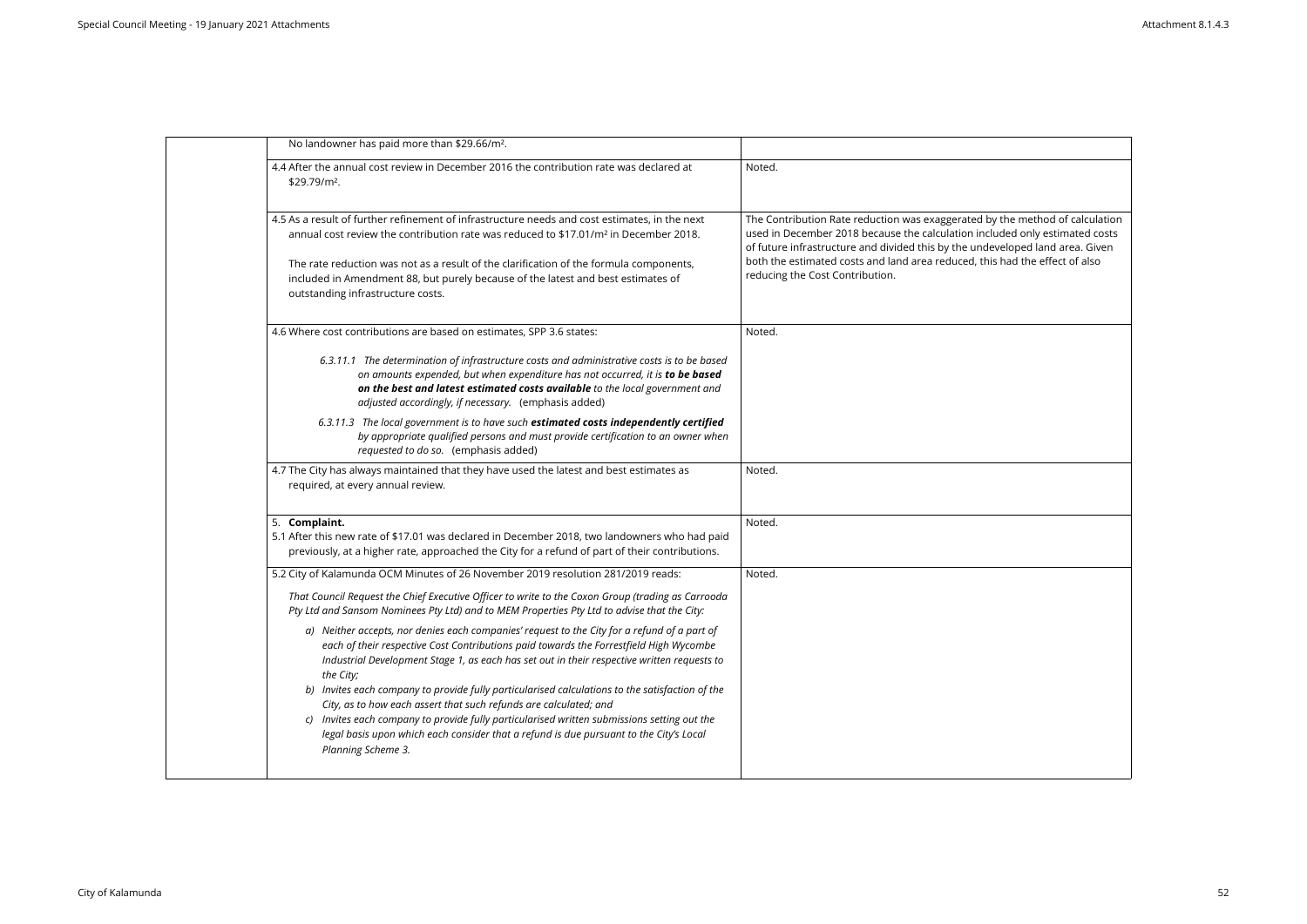| No landowner has paid more than \$29.66/m <sup>2</sup> .                                                                                                                                                                                                                                                                                                                                                             |                                                                                                                                                                                                                                                                                                                                                                |
|----------------------------------------------------------------------------------------------------------------------------------------------------------------------------------------------------------------------------------------------------------------------------------------------------------------------------------------------------------------------------------------------------------------------|----------------------------------------------------------------------------------------------------------------------------------------------------------------------------------------------------------------------------------------------------------------------------------------------------------------------------------------------------------------|
| 4.4 After the annual cost review in December 2016 the contribution rate was declared at<br>\$29.79/m <sup>2</sup> .                                                                                                                                                                                                                                                                                                  | Noted.                                                                                                                                                                                                                                                                                                                                                         |
| 4.5 As a result of further refinement of infrastructure needs and cost estimates, in the next<br>annual cost review the contribution rate was reduced to \$17.01/m <sup>2</sup> in December 2018.<br>The rate reduction was not as a result of the clarification of the formula components,<br>included in Amendment 88, but purely because of the latest and best estimates of<br>outstanding infrastructure costs. | The Contribution Rate reduction was exaggerated by the method of calculation<br>used in December 2018 because the calculation included only estimated costs<br>of future infrastructure and divided this by the undeveloped land area. Given<br>both the estimated costs and land area reduced, this had the effect of also<br>reducing the Cost Contribution. |
| 4.6 Where cost contributions are based on estimates, SPP 3.6 states:                                                                                                                                                                                                                                                                                                                                                 | Noted.                                                                                                                                                                                                                                                                                                                                                         |
| 6.3.11.1 The determination of infrastructure costs and administrative costs is to be based<br>on amounts expended, but when expenditure has not occurred, it is to be based<br>on the best and latest estimated costs available to the local government and<br>adjusted accordingly, if necessary. (emphasis added)                                                                                                  |                                                                                                                                                                                                                                                                                                                                                                |
| 6.3.11.3 The local government is to have such estimated costs independently certified<br>by appropriate qualified persons and must provide certification to an owner when<br>requested to do so. (emphasis added)                                                                                                                                                                                                    |                                                                                                                                                                                                                                                                                                                                                                |
| 4.7 The City has always maintained that they have used the latest and best estimates as<br>required, at every annual review.                                                                                                                                                                                                                                                                                         | Noted.                                                                                                                                                                                                                                                                                                                                                         |
| 5. Complaint.<br>5.1 After this new rate of \$17.01 was declared in December 2018, two landowners who had paid<br>previously, at a higher rate, approached the City for a refund of part of their contributions.                                                                                                                                                                                                     | Noted.                                                                                                                                                                                                                                                                                                                                                         |
| 5.2 City of Kalamunda OCM Minutes of 26 November 2019 resolution 281/2019 reads:<br>That Council Request the Chief Executive Officer to write to the Coxon Group (trading as Carrooda<br>Pty Ltd and Sansom Nominees Pty Ltd) and to MEM Properties Pty Ltd to advise that the City:                                                                                                                                 | Noted.                                                                                                                                                                                                                                                                                                                                                         |
| a) Neither accepts, nor denies each companies' request to the City for a refund of a part of<br>each of their respective Cost Contributions paid towards the Forrestfield High Wycombe<br>Industrial Development Stage 1, as each has set out in their respective written requests to<br>the City;<br>b) Invites each company to provide fully particularised calculations to the satisfaction of the                |                                                                                                                                                                                                                                                                                                                                                                |
| City, as to how each assert that such refunds are calculated; and<br>c) Invites each company to provide fully particularised written submissions setting out the<br>legal basis upon which each consider that a refund is due pursuant to the City's Local<br>Planning Scheme 3.                                                                                                                                     |                                                                                                                                                                                                                                                                                                                                                                |
|                                                                                                                                                                                                                                                                                                                                                                                                                      |                                                                                                                                                                                                                                                                                                                                                                |

| by the method of calculation<br>luded only estimated costs<br>eveloped land area. Given<br>is had the effect of also |
|----------------------------------------------------------------------------------------------------------------------|
|                                                                                                                      |
|                                                                                                                      |
|                                                                                                                      |
|                                                                                                                      |
|                                                                                                                      |
|                                                                                                                      |
|                                                                                                                      |
|                                                                                                                      |
|                                                                                                                      |
|                                                                                                                      |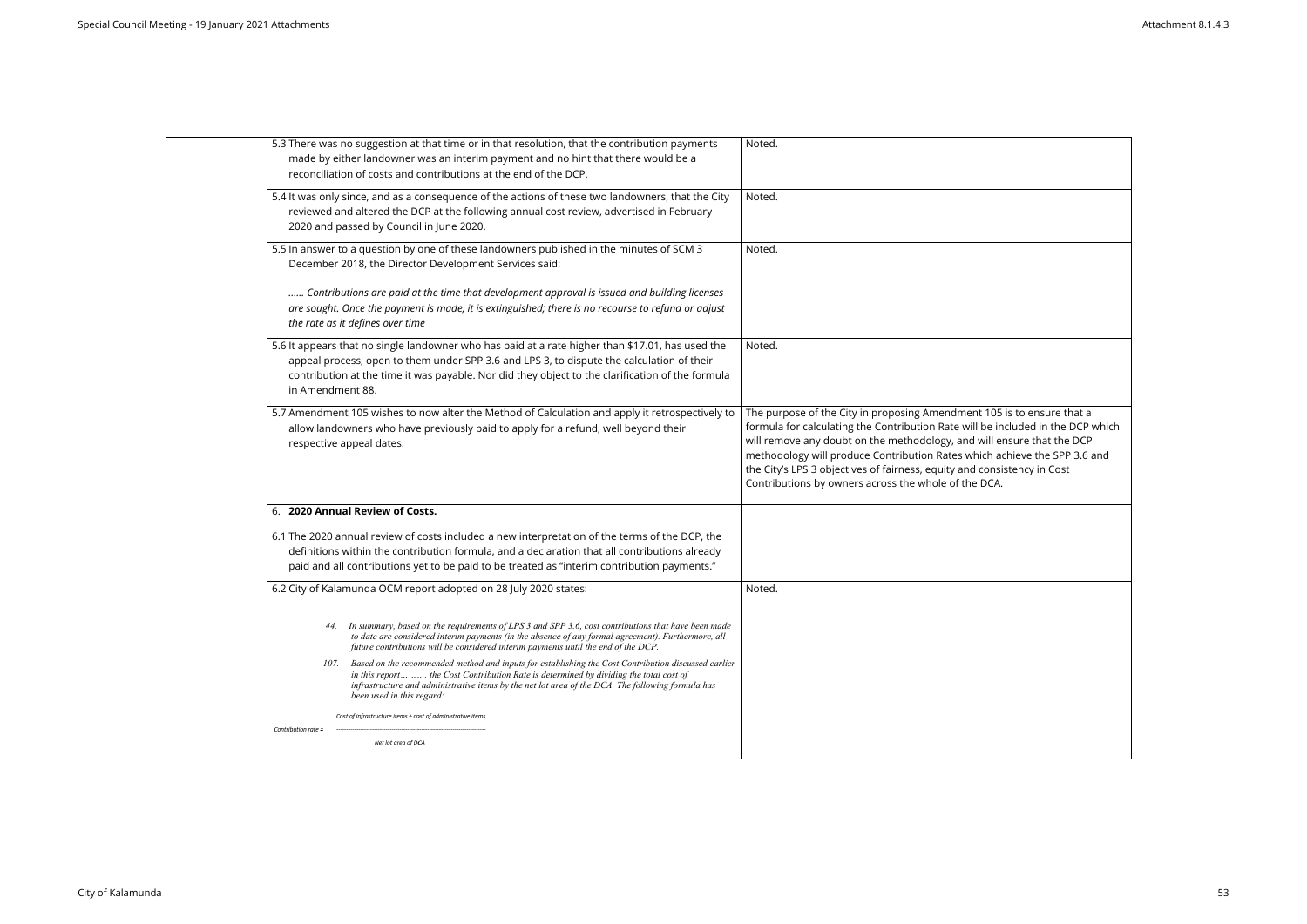| 5.3 There was no suggestion at that time or in that resolution, that the contribution payments<br>made by either landowner was an interim payment and no hint that there would be a<br>reconciliation of costs and contributions at the end of the DCP.                                                                             | Noted.                                                                                                                                                                                                                                                                                                                                             |
|-------------------------------------------------------------------------------------------------------------------------------------------------------------------------------------------------------------------------------------------------------------------------------------------------------------------------------------|----------------------------------------------------------------------------------------------------------------------------------------------------------------------------------------------------------------------------------------------------------------------------------------------------------------------------------------------------|
| 5.4 It was only since, and as a consequence of the actions of these two landowners, that the City<br>reviewed and altered the DCP at the following annual cost review, advertised in February<br>2020 and passed by Council in June 2020.                                                                                           | Noted.                                                                                                                                                                                                                                                                                                                                             |
| 5.5 In answer to a question by one of these landowners published in the minutes of SCM 3<br>December 2018, the Director Development Services said:                                                                                                                                                                                  | Noted.                                                                                                                                                                                                                                                                                                                                             |
| Contributions are paid at the time that development approval is issued and building licenses<br>are sought. Once the payment is made, it is extinguished; there is no recourse to refund or adjust<br>the rate as it defines over time                                                                                              |                                                                                                                                                                                                                                                                                                                                                    |
| 5.6 It appears that no single landowner who has paid at a rate higher than \$17.01, has used the<br>appeal process, open to them under SPP 3.6 and LPS 3, to dispute the calculation of their<br>contribution at the time it was payable. Nor did they object to the clarification of the formula<br>in Amendment 88.               | Noted.                                                                                                                                                                                                                                                                                                                                             |
| 5.7 Amendment 105 wishes to now alter the Method of Calculation and apply it retrospectively to<br>allow landowners who have previously paid to apply for a refund, well beyond their<br>respective appeal dates.                                                                                                                   | The purpose of the City in proposing Amendment 105<br>formula for calculating the Contribution Rate will be in<br>will remove any doubt on the methodology, and will e<br>methodology will produce Contribution Rates which a<br>the City's LPS 3 objectives of fairness, equity and consi<br>Contributions by owners across the whole of the DCA. |
| 6. 2020 Annual Review of Costs.                                                                                                                                                                                                                                                                                                     |                                                                                                                                                                                                                                                                                                                                                    |
| 6.1 The 2020 annual review of costs included a new interpretation of the terms of the DCP, the<br>definitions within the contribution formula, and a declaration that all contributions already<br>paid and all contributions yet to be paid to be treated as "interim contribution payments."                                      |                                                                                                                                                                                                                                                                                                                                                    |
| 6.2 City of Kalamunda OCM report adopted on 28 July 2020 states:                                                                                                                                                                                                                                                                    | Noted.                                                                                                                                                                                                                                                                                                                                             |
| 44. In summary, based on the requirements of LPS 3 and SPP 3.6, cost contributions that have been made<br>to date are considered interim payments (in the absence of any formal agreement). Furthermore, all<br>future contributions will be considered interim payments until the end of the DCP.                                  |                                                                                                                                                                                                                                                                                                                                                    |
| 107. Based on the recommended method and inputs for establishing the Cost Contribution discussed earlier<br>in this report the Cost Contribution Rate is determined by dividing the total cost of<br>infrastructure and administrative items by the net lot area of the DCA. The following formula has<br>been used in this regard: |                                                                                                                                                                                                                                                                                                                                                    |
| Cost of infrastructure items + cost of administrative items                                                                                                                                                                                                                                                                         |                                                                                                                                                                                                                                                                                                                                                    |
| Contribution rate =<br>Net lot area of DCA                                                                                                                                                                                                                                                                                          |                                                                                                                                                                                                                                                                                                                                                    |
|                                                                                                                                                                                                                                                                                                                                     |                                                                                                                                                                                                                                                                                                                                                    |

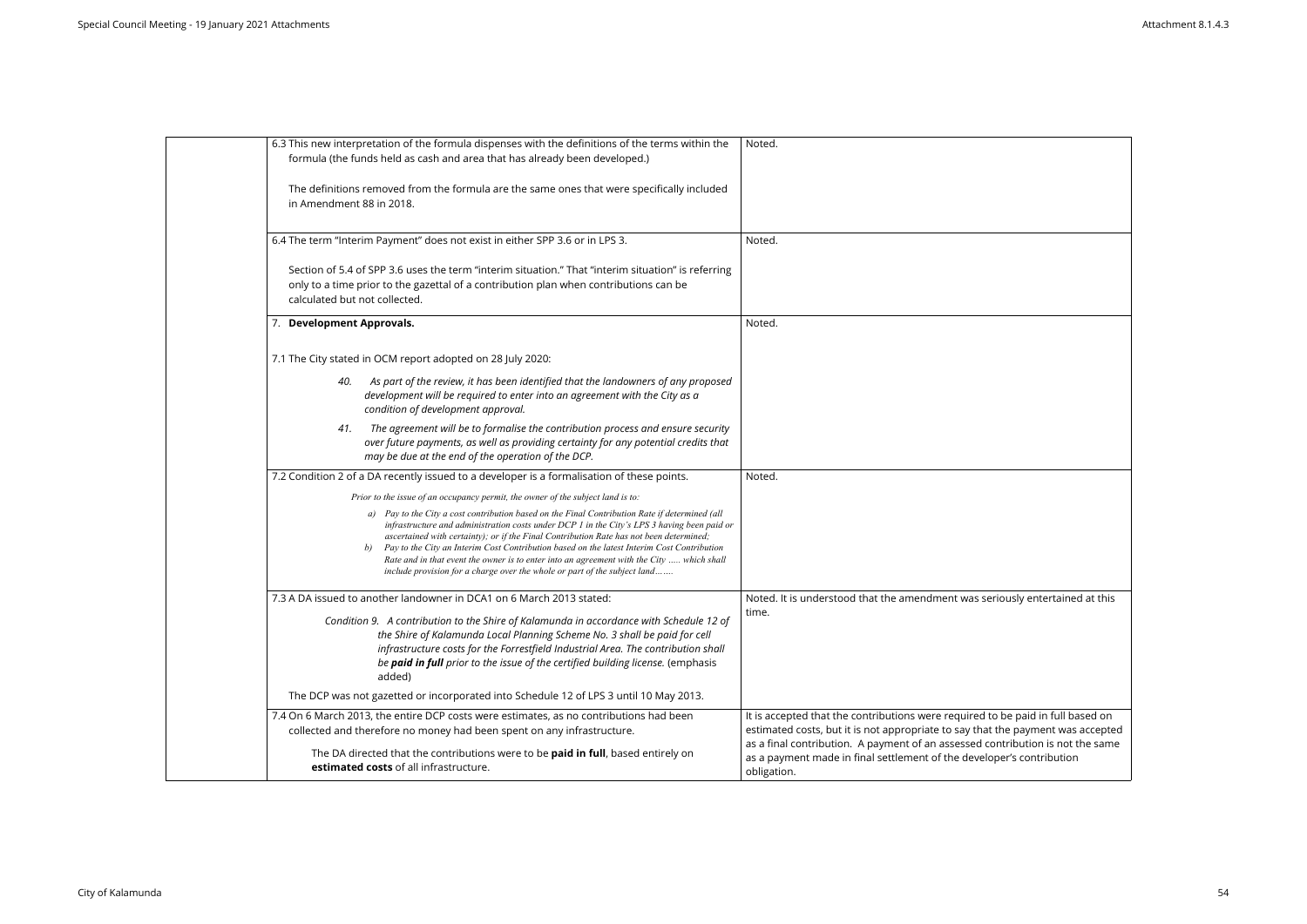| 6.3 This new interpretation of the formula dispenses with the definitions of the terms within the<br>formula (the funds held as cash and area that has already been developed.)                                                                                                                                                                                                                                                                                                                                                                                        | Noted.                                                                                                                                                                 |
|------------------------------------------------------------------------------------------------------------------------------------------------------------------------------------------------------------------------------------------------------------------------------------------------------------------------------------------------------------------------------------------------------------------------------------------------------------------------------------------------------------------------------------------------------------------------|------------------------------------------------------------------------------------------------------------------------------------------------------------------------|
| The definitions removed from the formula are the same ones that were specifically included<br>in Amendment 88 in 2018.                                                                                                                                                                                                                                                                                                                                                                                                                                                 |                                                                                                                                                                        |
| 6.4 The term "Interim Payment" does not exist in either SPP 3.6 or in LPS 3.                                                                                                                                                                                                                                                                                                                                                                                                                                                                                           | Noted.                                                                                                                                                                 |
| Section of 5.4 of SPP 3.6 uses the term "interim situation." That "interim situation" is referring<br>only to a time prior to the gazettal of a contribution plan when contributions can be<br>calculated but not collected.                                                                                                                                                                                                                                                                                                                                           |                                                                                                                                                                        |
| 7. Development Approvals.                                                                                                                                                                                                                                                                                                                                                                                                                                                                                                                                              | Noted.                                                                                                                                                                 |
| 7.1 The City stated in OCM report adopted on 28 July 2020:                                                                                                                                                                                                                                                                                                                                                                                                                                                                                                             |                                                                                                                                                                        |
| As part of the review, it has been identified that the landowners of any proposed<br>40.<br>development will be required to enter into an agreement with the City as a<br>condition of development approval.                                                                                                                                                                                                                                                                                                                                                           |                                                                                                                                                                        |
| The agreement will be to formalise the contribution process and ensure security<br>41.<br>over future payments, as well as providing certainty for any potential credits that<br>may be due at the end of the operation of the DCP.                                                                                                                                                                                                                                                                                                                                    |                                                                                                                                                                        |
| 7.2 Condition 2 of a DA recently issued to a developer is a formalisation of these points.                                                                                                                                                                                                                                                                                                                                                                                                                                                                             | Noted.                                                                                                                                                                 |
| Prior to the issue of an occupancy permit, the owner of the subject land is to:                                                                                                                                                                                                                                                                                                                                                                                                                                                                                        |                                                                                                                                                                        |
| a) Pay to the City a cost contribution based on the Final Contribution Rate if determined (all<br>infrastructure and administration costs under DCP 1 in the City's LPS 3 having been paid or<br>ascertained with certainty); or if the Final Contribution Rate has not been determined;<br>Pay to the City an Interim Cost Contribution based on the latest Interim Cost Contribution<br>b)<br>Rate and in that event the owner is to enter into an agreement with the City  which shall<br>include provision for a charge over the whole or part of the subject land |                                                                                                                                                                        |
| 7.3 A DA issued to another landowner in DCA1 on 6 March 2013 stated:                                                                                                                                                                                                                                                                                                                                                                                                                                                                                                   | Noted. It is understood that the amendment was seriously entertained at this                                                                                           |
| Condition 9. A contribution to the Shire of Kalamunda in accordance with Schedule 12 of<br>the Shire of Kalamunda Local Planning Scheme No. 3 shall be paid for cell<br>infrastructure costs for the Forrestfield Industrial Area. The contribution shall<br>be paid in full prior to the issue of the certified building license. (emphasis<br>added)                                                                                                                                                                                                                 | time.                                                                                                                                                                  |
| The DCP was not gazetted or incorporated into Schedule 12 of LPS 3 until 10 May 2013.                                                                                                                                                                                                                                                                                                                                                                                                                                                                                  |                                                                                                                                                                        |
| 7.4 On 6 March 2013, the entire DCP costs were estimates, as no contributions had been<br>collected and therefore no money had been spent on any infrastructure.                                                                                                                                                                                                                                                                                                                                                                                                       | It is accepted that the contributions were required to be paid in full based on<br>estimated costs, but it is not appropriate to say that the payment was accepted     |
| The DA directed that the contributions were to be paid in full, based entirely on<br>estimated costs of all infrastructure.                                                                                                                                                                                                                                                                                                                                                                                                                                            | as a final contribution. A payment of an assessed contribution is not the same<br>as a payment made in final settlement of the developer's contribution<br>obligation. |
|                                                                                                                                                                                                                                                                                                                                                                                                                                                                                                                                                                        |                                                                                                                                                                        |

| eriously entertained at this                                                                                     |
|------------------------------------------------------------------------------------------------------------------|
|                                                                                                                  |
| to be paid in full based on<br>t the payment was accepted<br>contribution is not the same<br>oper's contribution |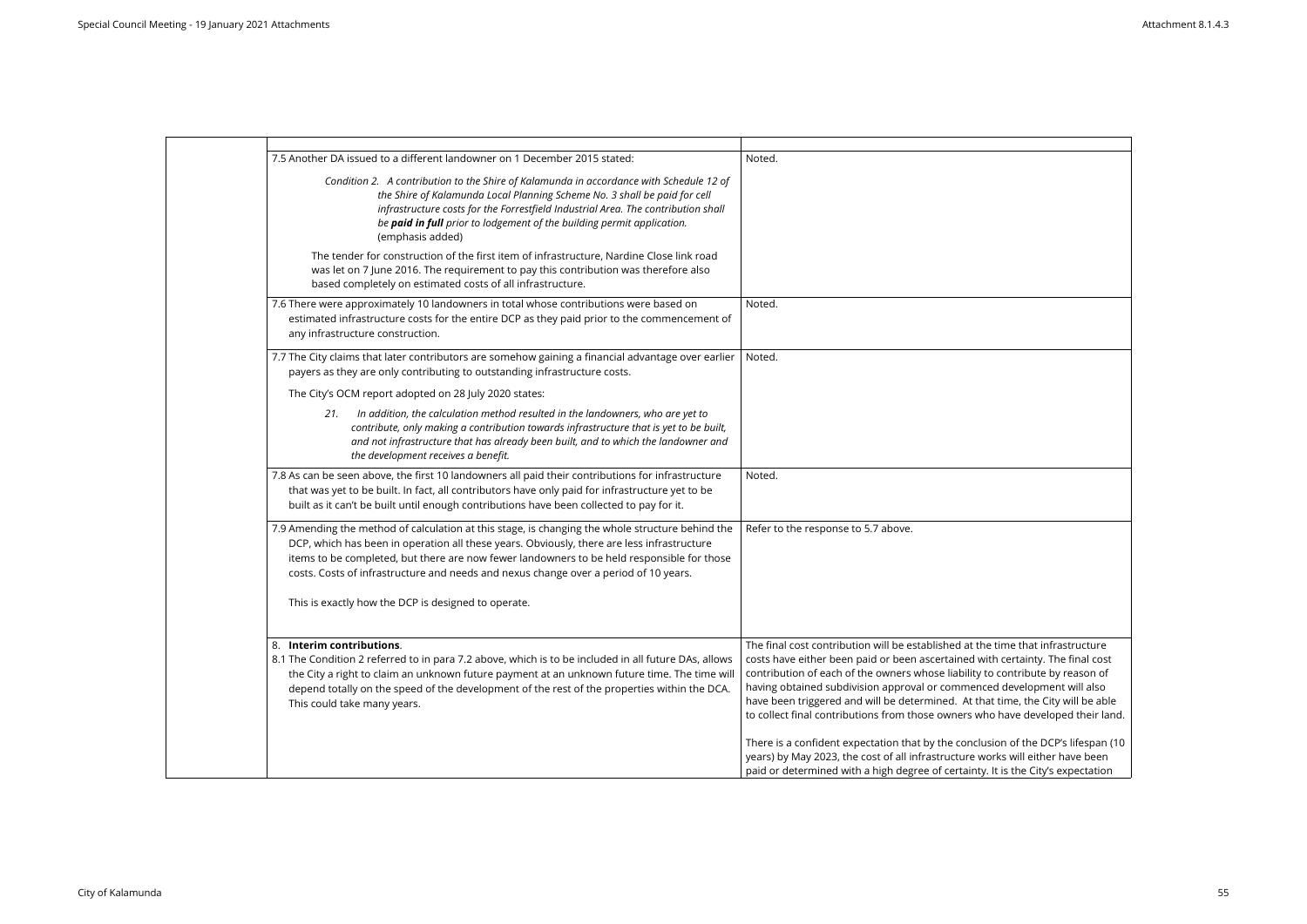| 7.5 Another DA issued to a different landowner on 1 December 2015 stated:                                                                                                                                                                                                                                                                                                            | Noted.                                                                                                                                                                                                                                                                                                                                                                                                                                                                                              |
|--------------------------------------------------------------------------------------------------------------------------------------------------------------------------------------------------------------------------------------------------------------------------------------------------------------------------------------------------------------------------------------|-----------------------------------------------------------------------------------------------------------------------------------------------------------------------------------------------------------------------------------------------------------------------------------------------------------------------------------------------------------------------------------------------------------------------------------------------------------------------------------------------------|
| Condition 2. A contribution to the Shire of Kalamunda in accordance with Schedule 12 of<br>the Shire of Kalamunda Local Planning Scheme No. 3 shall be paid for cell<br>infrastructure costs for the Forrestfield Industrial Area. The contribution shall<br>be paid in full prior to lodgement of the building permit application.<br>(emphasis added)                              |                                                                                                                                                                                                                                                                                                                                                                                                                                                                                                     |
| The tender for construction of the first item of infrastructure, Nardine Close link road<br>was let on 7 June 2016. The requirement to pay this contribution was therefore also<br>based completely on estimated costs of all infrastructure.                                                                                                                                        |                                                                                                                                                                                                                                                                                                                                                                                                                                                                                                     |
| 7.6 There were approximately 10 landowners in total whose contributions were based on<br>estimated infrastructure costs for the entire DCP as they paid prior to the commencement of<br>any infrastructure construction.                                                                                                                                                             | Noted.                                                                                                                                                                                                                                                                                                                                                                                                                                                                                              |
| 7.7 The City claims that later contributors are somehow gaining a financial advantage over earlier<br>payers as they are only contributing to outstanding infrastructure costs.                                                                                                                                                                                                      | Noted.                                                                                                                                                                                                                                                                                                                                                                                                                                                                                              |
| The City's OCM report adopted on 28 July 2020 states:                                                                                                                                                                                                                                                                                                                                |                                                                                                                                                                                                                                                                                                                                                                                                                                                                                                     |
| In addition, the calculation method resulted in the landowners, who are yet to<br>21.<br>contribute, only making a contribution towards infrastructure that is yet to be built,<br>and not infrastructure that has already been built, and to which the landowner and<br>the development receives a benefit.                                                                         |                                                                                                                                                                                                                                                                                                                                                                                                                                                                                                     |
| 7.8 As can be seen above, the first 10 landowners all paid their contributions for infrastructure<br>that was yet to be built. In fact, all contributors have only paid for infrastructure yet to be<br>built as it can't be built until enough contributions have been collected to pay for it.                                                                                     | Noted.                                                                                                                                                                                                                                                                                                                                                                                                                                                                                              |
| 7.9 Amending the method of calculation at this stage, is changing the whole structure behind the<br>DCP, which has been in operation all these years. Obviously, there are less infrastructure<br>items to be completed, but there are now fewer landowners to be held responsible for those<br>costs. Costs of infrastructure and needs and nexus change over a period of 10 years. | Refer to the response to 5.7 above.                                                                                                                                                                                                                                                                                                                                                                                                                                                                 |
| This is exactly how the DCP is designed to operate.                                                                                                                                                                                                                                                                                                                                  |                                                                                                                                                                                                                                                                                                                                                                                                                                                                                                     |
| 8. Interim contributions.<br>8.1 The Condition 2 referred to in para 7.2 above, which is to be included in all future DAs, allows<br>the City a right to claim an unknown future payment at an unknown future time. The time will<br>depend totally on the speed of the development of the rest of the properties within the DCA.<br>This could take many years.                     | The final cost contribution will be established at the time that infrastructure<br>costs have either been paid or been ascertained with certainty. The final cost<br>contribution of each of the owners whose liability to contribute by reason of<br>having obtained subdivision approval or commenced development will also<br>have been triggered and will be determined. At that time, the City will be able<br>to collect final contributions from those owners who have developed their land. |
|                                                                                                                                                                                                                                                                                                                                                                                      | There is a confident expectation that by the conclusion of the DCP's lifespan (10<br>years) by May 2023, the cost of all infrastructure works will either have been<br>paid or determined with a high degree of certainty. It is the City's expectation                                                                                                                                                                                                                                             |

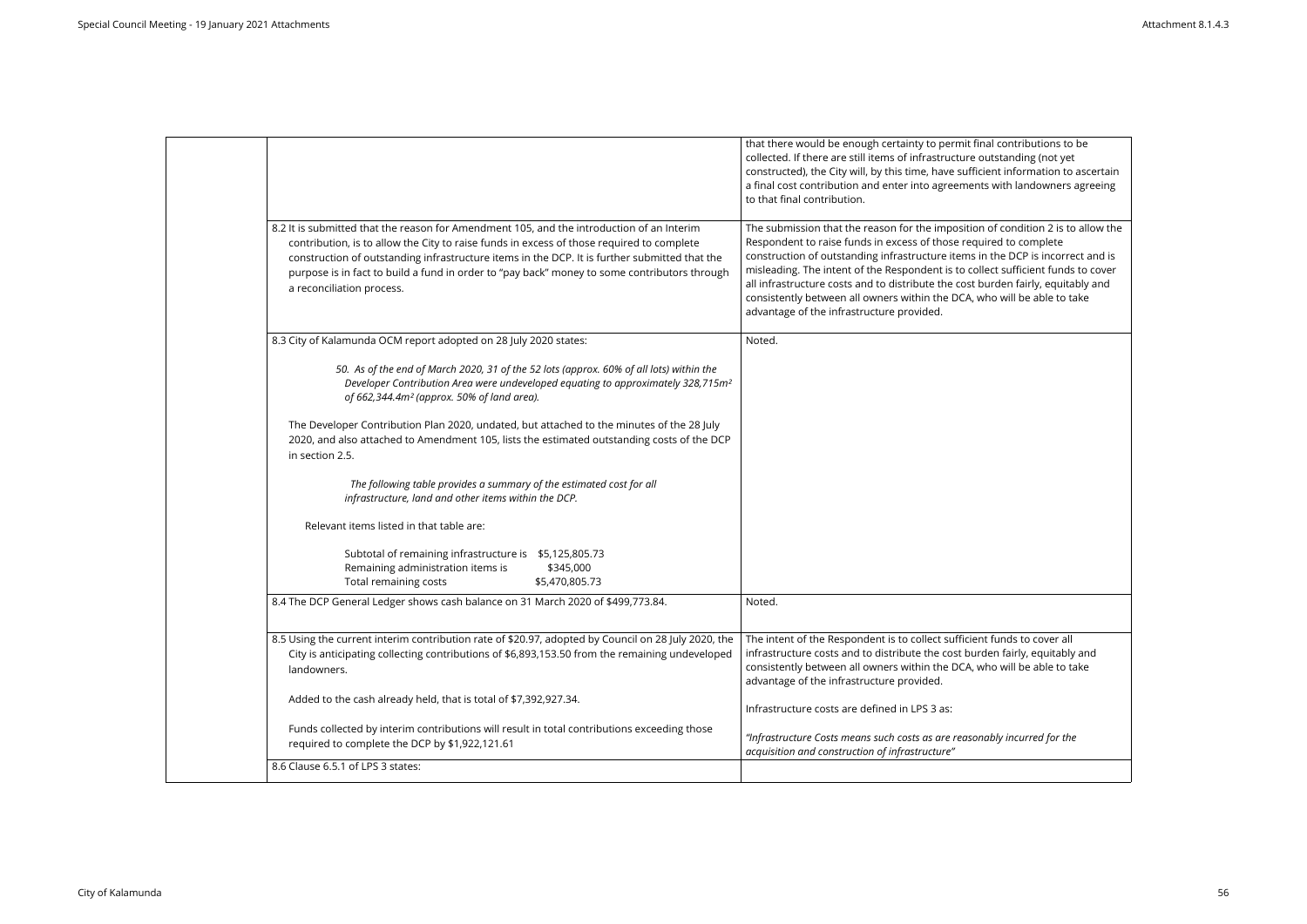| that there would be enough certainty to permit final contributions to be<br>collected. If there are still items of infrastructure outstanding (not yet<br>constructed), the City will, by this time, have sufficient information to ascertain<br>a final cost contribution and enter into agreements with landowners agreeing<br>to that final contribution.<br>8.2 It is submitted that the reason for Amendment 105, and the introduction of an Interim<br>The submission that the reason for the imposition of condition 2 is to allow the<br>Respondent to raise funds in excess of those required to complete<br>contribution, is to allow the City to raise funds in excess of those required to complete<br>construction of outstanding infrastructure items in the DCP is incorrect and is<br>construction of outstanding infrastructure items in the DCP. It is further submitted that the<br>misleading. The intent of the Respondent is to collect sufficient funds to cover<br>purpose is in fact to build a fund in order to "pay back" money to some contributors through<br>all infrastructure costs and to distribute the cost burden fairly, equitably and<br>a reconciliation process.<br>consistently between all owners within the DCA, who will be able to take<br>advantage of the infrastructure provided.<br>8.3 City of Kalamunda OCM report adopted on 28 July 2020 states:<br>Noted.<br>50. As of the end of March 2020, 31 of the 52 lots (approx. 60% of all lots) within the<br>Developer Contribution Area were undeveloped equating to approximately 328,715m <sup>2</sup><br>of 662,344.4m <sup>2</sup> (approx. 50% of land area).<br>The Developer Contribution Plan 2020, undated, but attached to the minutes of the 28 July<br>2020, and also attached to Amendment 105, lists the estimated outstanding costs of the DCP<br>in section 2.5.<br>The following table provides a summary of the estimated cost for all<br>infrastructure, land and other items within the DCP.<br>Relevant items listed in that table are:<br>Subtotal of remaining infrastructure is \$5,125,805.73<br>Remaining administration items is<br>\$345,000<br>Total remaining costs<br>\$5,470,805.73<br>8.4 The DCP General Ledger shows cash balance on 31 March 2020 of \$499,773.84.<br>Noted.<br>8.5 Using the current interim contribution rate of \$20.97, adopted by Council on 28 July 2020, the<br>The intent of the Respondent is to collect sufficient funds to cover all<br>infrastructure costs and to distribute the cost burden fairly, equitably and<br>City is anticipating collecting contributions of \$6,893,153.50 from the remaining undeveloped<br>consistently between all owners within the DCA, who will be able to take<br>landowners.<br>advantage of the infrastructure provided.<br>Added to the cash already held, that is total of \$7,392,927.34.<br>Infrastructure costs are defined in LPS 3 as:<br>Funds collected by interim contributions will result in total contributions exceeding those<br>"Infrastructure Costs means such costs as are reasonably incurred for the<br>required to complete the DCP by \$1,922,121.61<br>acquisition and construction of infrastructure"<br>8.6 Clause 6.5.1 of LPS 3 states: |  |
|----------------------------------------------------------------------------------------------------------------------------------------------------------------------------------------------------------------------------------------------------------------------------------------------------------------------------------------------------------------------------------------------------------------------------------------------------------------------------------------------------------------------------------------------------------------------------------------------------------------------------------------------------------------------------------------------------------------------------------------------------------------------------------------------------------------------------------------------------------------------------------------------------------------------------------------------------------------------------------------------------------------------------------------------------------------------------------------------------------------------------------------------------------------------------------------------------------------------------------------------------------------------------------------------------------------------------------------------------------------------------------------------------------------------------------------------------------------------------------------------------------------------------------------------------------------------------------------------------------------------------------------------------------------------------------------------------------------------------------------------------------------------------------------------------------------------------------------------------------------------------------------------------------------------------------------------------------------------------------------------------------------------------------------------------------------------------------------------------------------------------------------------------------------------------------------------------------------------------------------------------------------------------------------------------------------------------------------------------------------------------------------------------------------------------------------------------------------------------------------------------------------------------------------------------------------------------------------------------------------------------------------------------------------------------------------------------------------------------------------------------------------------------------------------------------------------------------------------------------------------------------------------------------------------------------------------------------------------------------------------------------------------------------------------------------------------------------------------------------------------------------------------------------------------------------------------------------------------------------------------------------------------------|--|
|                                                                                                                                                                                                                                                                                                                                                                                                                                                                                                                                                                                                                                                                                                                                                                                                                                                                                                                                                                                                                                                                                                                                                                                                                                                                                                                                                                                                                                                                                                                                                                                                                                                                                                                                                                                                                                                                                                                                                                                                                                                                                                                                                                                                                                                                                                                                                                                                                                                                                                                                                                                                                                                                                                                                                                                                                                                                                                                                                                                                                                                                                                                                                                                                                                                                            |  |
|                                                                                                                                                                                                                                                                                                                                                                                                                                                                                                                                                                                                                                                                                                                                                                                                                                                                                                                                                                                                                                                                                                                                                                                                                                                                                                                                                                                                                                                                                                                                                                                                                                                                                                                                                                                                                                                                                                                                                                                                                                                                                                                                                                                                                                                                                                                                                                                                                                                                                                                                                                                                                                                                                                                                                                                                                                                                                                                                                                                                                                                                                                                                                                                                                                                                            |  |
|                                                                                                                                                                                                                                                                                                                                                                                                                                                                                                                                                                                                                                                                                                                                                                                                                                                                                                                                                                                                                                                                                                                                                                                                                                                                                                                                                                                                                                                                                                                                                                                                                                                                                                                                                                                                                                                                                                                                                                                                                                                                                                                                                                                                                                                                                                                                                                                                                                                                                                                                                                                                                                                                                                                                                                                                                                                                                                                                                                                                                                                                                                                                                                                                                                                                            |  |
|                                                                                                                                                                                                                                                                                                                                                                                                                                                                                                                                                                                                                                                                                                                                                                                                                                                                                                                                                                                                                                                                                                                                                                                                                                                                                                                                                                                                                                                                                                                                                                                                                                                                                                                                                                                                                                                                                                                                                                                                                                                                                                                                                                                                                                                                                                                                                                                                                                                                                                                                                                                                                                                                                                                                                                                                                                                                                                                                                                                                                                                                                                                                                                                                                                                                            |  |
|                                                                                                                                                                                                                                                                                                                                                                                                                                                                                                                                                                                                                                                                                                                                                                                                                                                                                                                                                                                                                                                                                                                                                                                                                                                                                                                                                                                                                                                                                                                                                                                                                                                                                                                                                                                                                                                                                                                                                                                                                                                                                                                                                                                                                                                                                                                                                                                                                                                                                                                                                                                                                                                                                                                                                                                                                                                                                                                                                                                                                                                                                                                                                                                                                                                                            |  |
|                                                                                                                                                                                                                                                                                                                                                                                                                                                                                                                                                                                                                                                                                                                                                                                                                                                                                                                                                                                                                                                                                                                                                                                                                                                                                                                                                                                                                                                                                                                                                                                                                                                                                                                                                                                                                                                                                                                                                                                                                                                                                                                                                                                                                                                                                                                                                                                                                                                                                                                                                                                                                                                                                                                                                                                                                                                                                                                                                                                                                                                                                                                                                                                                                                                                            |  |
|                                                                                                                                                                                                                                                                                                                                                                                                                                                                                                                                                                                                                                                                                                                                                                                                                                                                                                                                                                                                                                                                                                                                                                                                                                                                                                                                                                                                                                                                                                                                                                                                                                                                                                                                                                                                                                                                                                                                                                                                                                                                                                                                                                                                                                                                                                                                                                                                                                                                                                                                                                                                                                                                                                                                                                                                                                                                                                                                                                                                                                                                                                                                                                                                                                                                            |  |
|                                                                                                                                                                                                                                                                                                                                                                                                                                                                                                                                                                                                                                                                                                                                                                                                                                                                                                                                                                                                                                                                                                                                                                                                                                                                                                                                                                                                                                                                                                                                                                                                                                                                                                                                                                                                                                                                                                                                                                                                                                                                                                                                                                                                                                                                                                                                                                                                                                                                                                                                                                                                                                                                                                                                                                                                                                                                                                                                                                                                                                                                                                                                                                                                                                                                            |  |
|                                                                                                                                                                                                                                                                                                                                                                                                                                                                                                                                                                                                                                                                                                                                                                                                                                                                                                                                                                                                                                                                                                                                                                                                                                                                                                                                                                                                                                                                                                                                                                                                                                                                                                                                                                                                                                                                                                                                                                                                                                                                                                                                                                                                                                                                                                                                                                                                                                                                                                                                                                                                                                                                                                                                                                                                                                                                                                                                                                                                                                                                                                                                                                                                                                                                            |  |
|                                                                                                                                                                                                                                                                                                                                                                                                                                                                                                                                                                                                                                                                                                                                                                                                                                                                                                                                                                                                                                                                                                                                                                                                                                                                                                                                                                                                                                                                                                                                                                                                                                                                                                                                                                                                                                                                                                                                                                                                                                                                                                                                                                                                                                                                                                                                                                                                                                                                                                                                                                                                                                                                                                                                                                                                                                                                                                                                                                                                                                                                                                                                                                                                                                                                            |  |
|                                                                                                                                                                                                                                                                                                                                                                                                                                                                                                                                                                                                                                                                                                                                                                                                                                                                                                                                                                                                                                                                                                                                                                                                                                                                                                                                                                                                                                                                                                                                                                                                                                                                                                                                                                                                                                                                                                                                                                                                                                                                                                                                                                                                                                                                                                                                                                                                                                                                                                                                                                                                                                                                                                                                                                                                                                                                                                                                                                                                                                                                                                                                                                                                                                                                            |  |
|                                                                                                                                                                                                                                                                                                                                                                                                                                                                                                                                                                                                                                                                                                                                                                                                                                                                                                                                                                                                                                                                                                                                                                                                                                                                                                                                                                                                                                                                                                                                                                                                                                                                                                                                                                                                                                                                                                                                                                                                                                                                                                                                                                                                                                                                                                                                                                                                                                                                                                                                                                                                                                                                                                                                                                                                                                                                                                                                                                                                                                                                                                                                                                                                                                                                            |  |
|                                                                                                                                                                                                                                                                                                                                                                                                                                                                                                                                                                                                                                                                                                                                                                                                                                                                                                                                                                                                                                                                                                                                                                                                                                                                                                                                                                                                                                                                                                                                                                                                                                                                                                                                                                                                                                                                                                                                                                                                                                                                                                                                                                                                                                                                                                                                                                                                                                                                                                                                                                                                                                                                                                                                                                                                                                                                                                                                                                                                                                                                                                                                                                                                                                                                            |  |

| al contributions to be<br>utstanding (not yet<br>ent information to ascertain<br>s with landowners agreeing                                                                 |
|-----------------------------------------------------------------------------------------------------------------------------------------------------------------------------|
| of condition 2 is to allow the<br>red to complete<br>the DCP is incorrect and is<br>ect sufficient funds to cover<br>urden fairly, equitably and<br>ho will be able to take |
|                                                                                                                                                                             |
|                                                                                                                                                                             |
|                                                                                                                                                                             |
|                                                                                                                                                                             |
| funds to cover all<br>en fairly, equitably and<br>ho will be able to take                                                                                                   |
| ably incurred for the                                                                                                                                                       |
|                                                                                                                                                                             |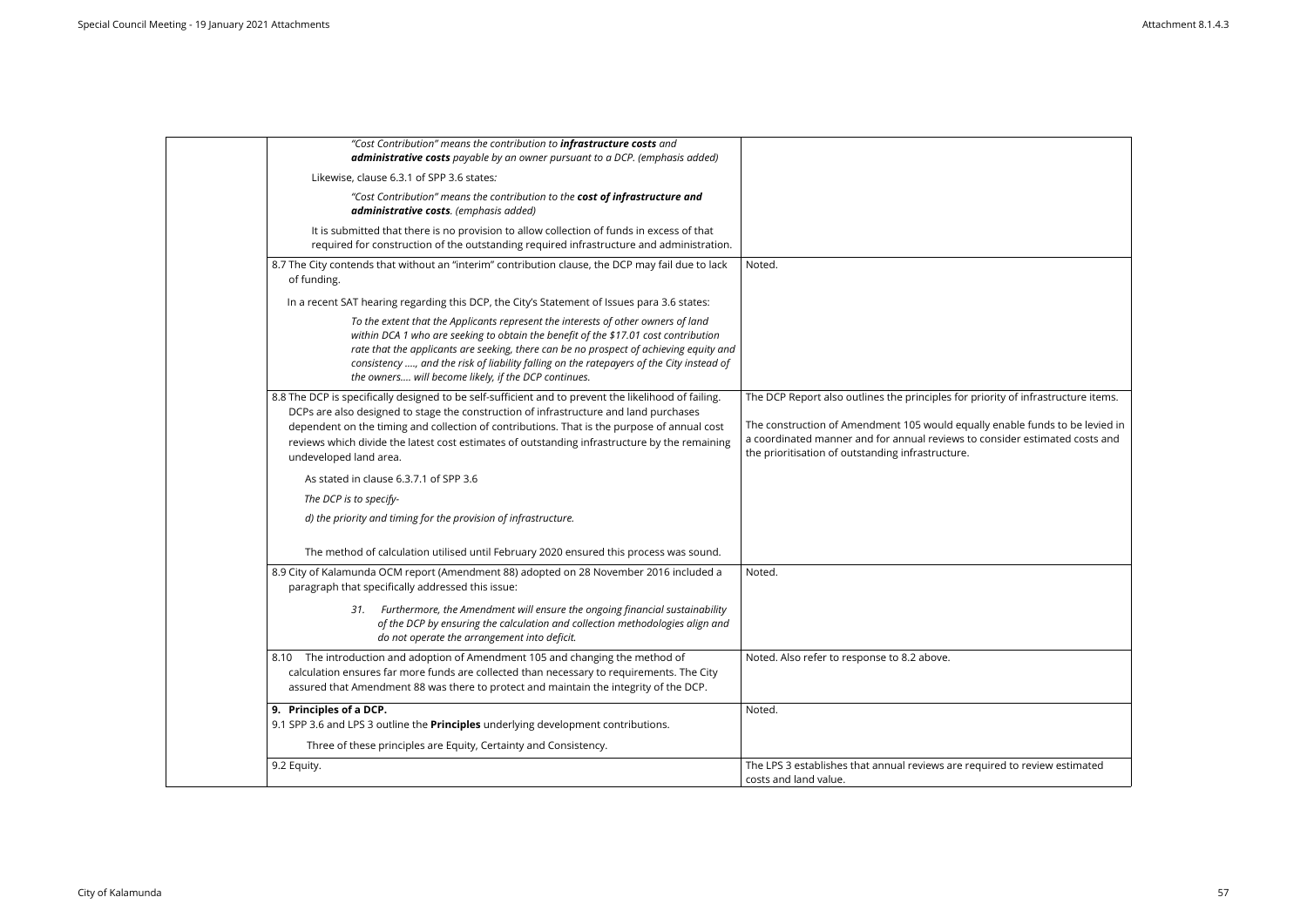| "Cost Contribution" means the contribution to <i>infrastructure costs</i> and<br>administrative costs payable by an owner pursuant to a DCP. (emphasis added)                                                                                                                                                                                                                                                           |                                                                                                                                                                                                                                                                                                       |
|-------------------------------------------------------------------------------------------------------------------------------------------------------------------------------------------------------------------------------------------------------------------------------------------------------------------------------------------------------------------------------------------------------------------------|-------------------------------------------------------------------------------------------------------------------------------------------------------------------------------------------------------------------------------------------------------------------------------------------------------|
| Likewise, clause 6.3.1 of SPP 3.6 states:                                                                                                                                                                                                                                                                                                                                                                               |                                                                                                                                                                                                                                                                                                       |
| "Cost Contribution" means the contribution to the cost of infrastructure and<br>administrative costs. (emphasis added)                                                                                                                                                                                                                                                                                                  |                                                                                                                                                                                                                                                                                                       |
| It is submitted that there is no provision to allow collection of funds in excess of that<br>required for construction of the outstanding required infrastructure and administration.                                                                                                                                                                                                                                   |                                                                                                                                                                                                                                                                                                       |
| 8.7 The City contends that without an "interim" contribution clause, the DCP may fail due to lack<br>of funding.                                                                                                                                                                                                                                                                                                        | Noted.                                                                                                                                                                                                                                                                                                |
| In a recent SAT hearing regarding this DCP, the City's Statement of Issues para 3.6 states:                                                                                                                                                                                                                                                                                                                             |                                                                                                                                                                                                                                                                                                       |
| To the extent that the Applicants represent the interests of other owners of land<br>within DCA 1 who are seeking to obtain the benefit of the \$17.01 cost contribution<br>rate that the applicants are seeking, there can be no prospect of achieving equity and<br>consistency , and the risk of liability falling on the ratepayers of the City instead of<br>the owners will become likely, if the DCP continues.  |                                                                                                                                                                                                                                                                                                       |
| 8.8 The DCP is specifically designed to be self-sufficient and to prevent the likelihood of failing.<br>DCPs are also designed to stage the construction of infrastructure and land purchases<br>dependent on the timing and collection of contributions. That is the purpose of annual cost<br>reviews which divide the latest cost estimates of outstanding infrastructure by the remaining<br>undeveloped land area. | The DCP Report also outlines the principles for priority of infrastructure items.<br>The construction of Amendment 105 would equally enable funds to be levied in<br>a coordinated manner and for annual reviews to consider estimated costs and<br>the prioritisation of outstanding infrastructure. |
| As stated in clause 6.3.7.1 of SPP 3.6                                                                                                                                                                                                                                                                                                                                                                                  |                                                                                                                                                                                                                                                                                                       |
| The DCP is to specify-                                                                                                                                                                                                                                                                                                                                                                                                  |                                                                                                                                                                                                                                                                                                       |
| d) the priority and timing for the provision of infrastructure.                                                                                                                                                                                                                                                                                                                                                         |                                                                                                                                                                                                                                                                                                       |
| The method of calculation utilised until February 2020 ensured this process was sound.                                                                                                                                                                                                                                                                                                                                  |                                                                                                                                                                                                                                                                                                       |
| 8.9 City of Kalamunda OCM report (Amendment 88) adopted on 28 November 2016 included a<br>paragraph that specifically addressed this issue:                                                                                                                                                                                                                                                                             | Noted.                                                                                                                                                                                                                                                                                                |
| 31. Furthermore, the Amendment will ensure the ongoing financial sustainability<br>of the DCP by ensuring the calculation and collection methodologies align and<br>do not operate the arrangement into deficit.                                                                                                                                                                                                        |                                                                                                                                                                                                                                                                                                       |
| The introduction and adoption of Amendment 105 and changing the method of<br>8.10<br>calculation ensures far more funds are collected than necessary to requirements. The City<br>assured that Amendment 88 was there to protect and maintain the integrity of the DCP.                                                                                                                                                 | Noted. Also refer to response to 8.2 above.                                                                                                                                                                                                                                                           |
| 9. Principles of a DCP.<br>9.1 SPP 3.6 and LPS 3 outline the Principles underlying development contributions.                                                                                                                                                                                                                                                                                                           | Noted.                                                                                                                                                                                                                                                                                                |
| Three of these principles are Equity, Certainty and Consistency.                                                                                                                                                                                                                                                                                                                                                        |                                                                                                                                                                                                                                                                                                       |
| 9.2 Equity.                                                                                                                                                                                                                                                                                                                                                                                                             | The LPS 3 establishes that annual reviews are required to review estimated<br>costs and land value.                                                                                                                                                                                                   |
|                                                                                                                                                                                                                                                                                                                                                                                                                         |                                                                                                                                                                                                                                                                                                       |

| ority of infrastructure items. |
|--------------------------------|
|                                |
| enable funds to be levied in   |
| onsider estimated costs and    |
|                                |
|                                |
|                                |
|                                |
|                                |
|                                |
|                                |
|                                |
|                                |
|                                |
|                                |
|                                |
|                                |
|                                |
|                                |
|                                |
|                                |
|                                |
|                                |
|                                |
|                                |
|                                |
|                                |
|                                |
|                                |
|                                |
| ired to review estimated       |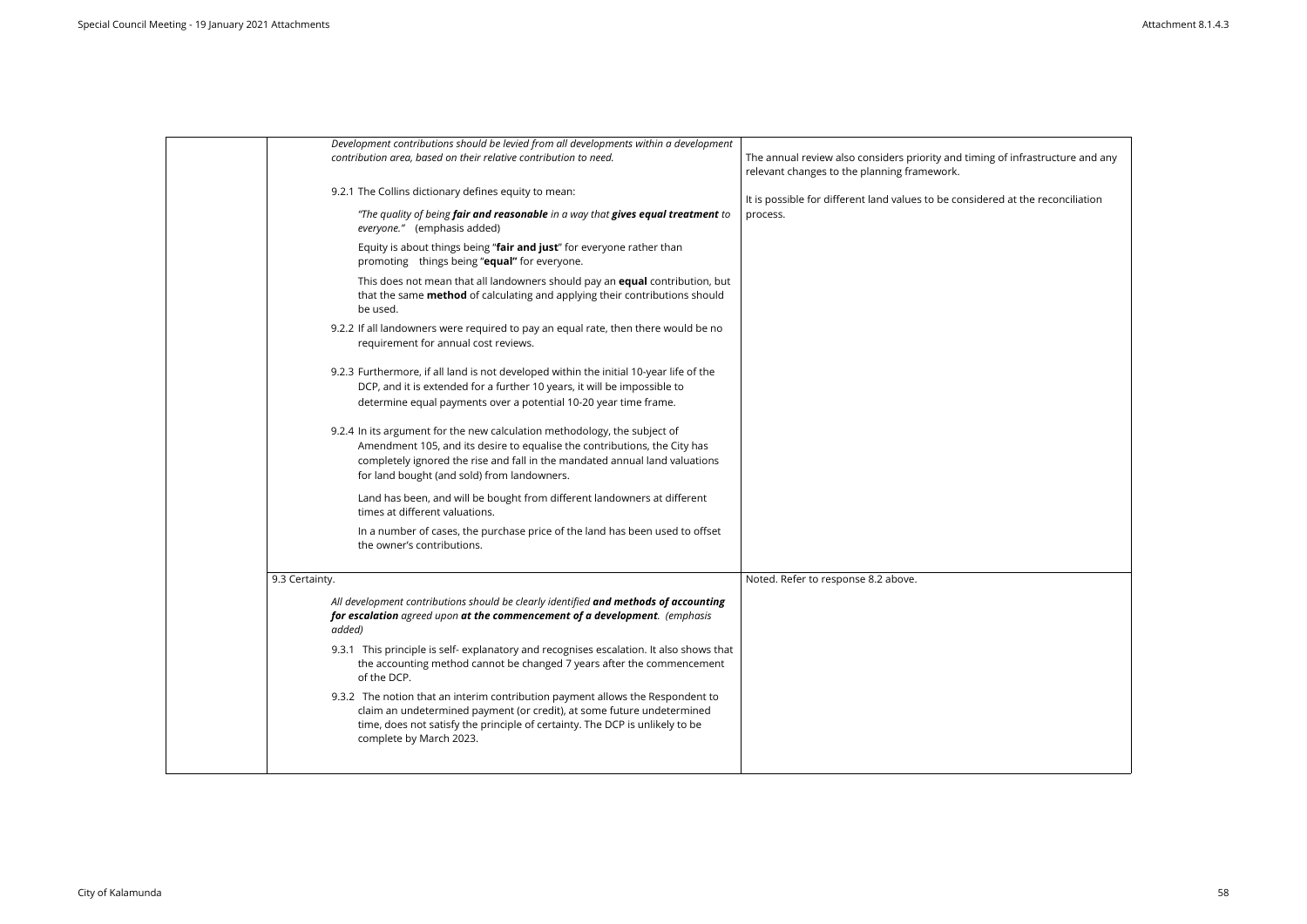| Development contributions should be levied from all developments within a development<br>contribution area, based on their relative contribution to need.                                                                                                                            | The annual review also considers priority and timing<br>relevant changes to the planning framework. |
|--------------------------------------------------------------------------------------------------------------------------------------------------------------------------------------------------------------------------------------------------------------------------------------|-----------------------------------------------------------------------------------------------------|
| 9.2.1 The Collins dictionary defines equity to mean:                                                                                                                                                                                                                                 | It is possible for different land values to be consider                                             |
| "The quality of being fair and reasonable in a way that gives equal treatment to<br>everyone." (emphasis added)                                                                                                                                                                      | process.                                                                                            |
| Equity is about things being "fair and just" for everyone rather than<br>promoting things being "equal" for everyone.                                                                                                                                                                |                                                                                                     |
| This does not mean that all landowners should pay an <b>equal</b> contribution, but<br>that the same method of calculating and applying their contributions should<br>be used.                                                                                                       |                                                                                                     |
| 9.2.2 If all landowners were required to pay an equal rate, then there would be no<br>requirement for annual cost reviews.                                                                                                                                                           |                                                                                                     |
| 9.2.3 Furthermore, if all land is not developed within the initial 10-year life of the<br>DCP, and it is extended for a further 10 years, it will be impossible to<br>determine equal payments over a potential 10-20 year time frame.                                               |                                                                                                     |
| 9.2.4 In its argument for the new calculation methodology, the subject of<br>Amendment 105, and its desire to equalise the contributions, the City has<br>completely ignored the rise and fall in the mandated annual land valuations<br>for land bought (and sold) from landowners. |                                                                                                     |
| Land has been, and will be bought from different landowners at different<br>times at different valuations.                                                                                                                                                                           |                                                                                                     |
| In a number of cases, the purchase price of the land has been used to offset<br>the owner's contributions.                                                                                                                                                                           |                                                                                                     |
| 9.3 Certainty.                                                                                                                                                                                                                                                                       | Noted. Refer to response 8.2 above.                                                                 |
| All development contributions should be clearly identified and methods of accounting<br>for escalation agreed upon at the commencement of a development. (emphasis<br>added)                                                                                                         |                                                                                                     |
| 9.3.1 This principle is self-explanatory and recognises escalation. It also shows that<br>the accounting method cannot be changed 7 years after the commencement<br>of the DCP.                                                                                                      |                                                                                                     |
| 9.3.2 The notion that an interim contribution payment allows the Respondent to<br>claim an undetermined payment (or credit), at some future undetermined<br>time, does not satisfy the principle of certainty. The DCP is unlikely to be<br>complete by March 2023.                  |                                                                                                     |
|                                                                                                                                                                                                                                                                                      |                                                                                                     |

ng of infrastructure and any

It is possible reconciliation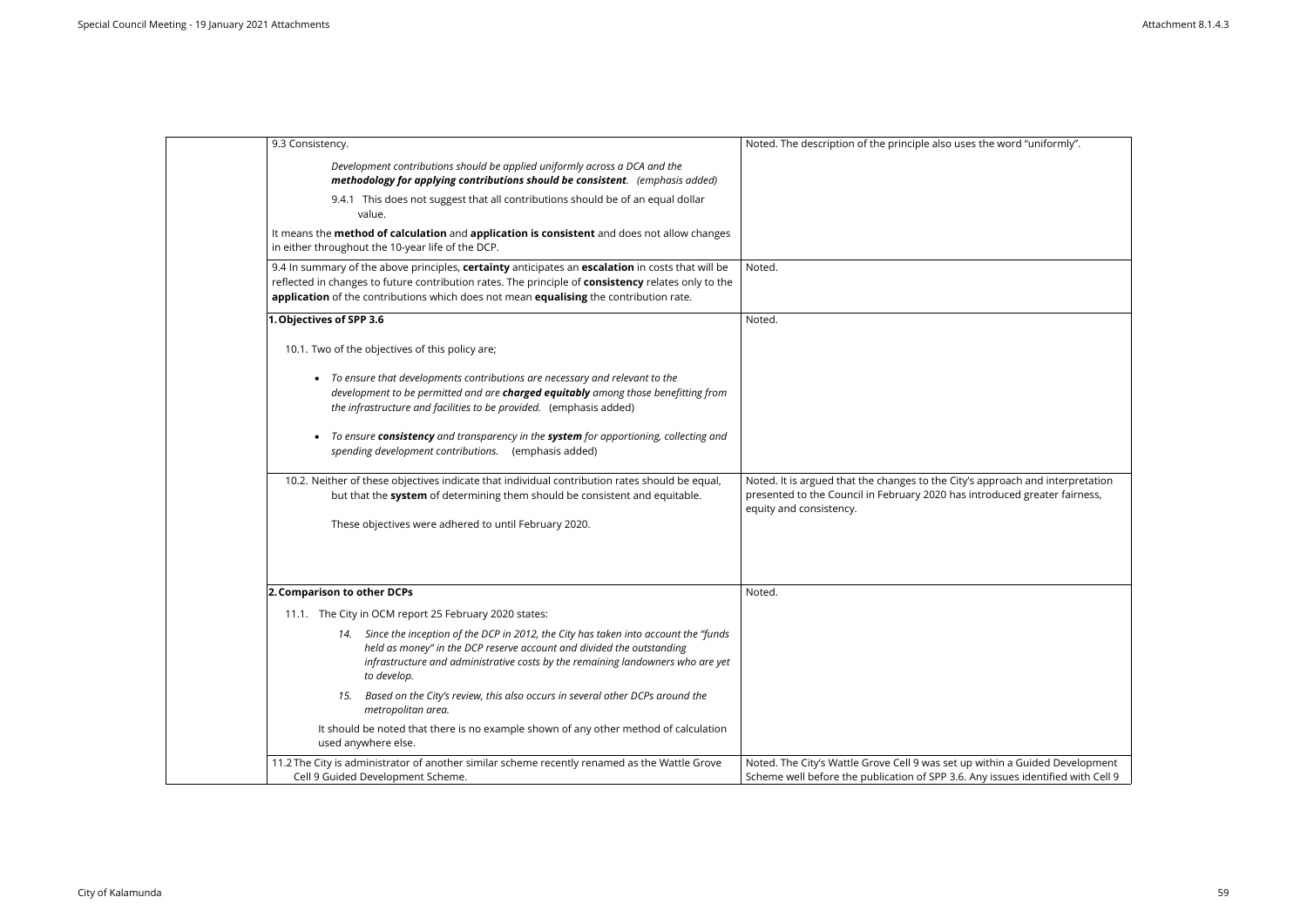| 9.3 Consistency.                                                                                                                                                                                                                                                                                   | Noted. The description of the principle also uses the word "uniformly".                                                                                          |
|----------------------------------------------------------------------------------------------------------------------------------------------------------------------------------------------------------------------------------------------------------------------------------------------------|------------------------------------------------------------------------------------------------------------------------------------------------------------------|
| Development contributions should be applied uniformly across a DCA and the<br>methodology for applying contributions should be consistent. (emphasis added)                                                                                                                                        |                                                                                                                                                                  |
| 9.4.1 This does not suggest that all contributions should be of an equal dollar<br>value.                                                                                                                                                                                                          |                                                                                                                                                                  |
| It means the method of calculation and application is consistent and does not allow changes<br>in either throughout the 10-year life of the DCP.                                                                                                                                                   |                                                                                                                                                                  |
| 9.4 In summary of the above principles, certainty anticipates an escalation in costs that will be<br>reflected in changes to future contribution rates. The principle of consistency relates only to the<br>application of the contributions which does not mean equalising the contribution rate. | Noted.                                                                                                                                                           |
| 1. Objectives of SPP 3.6                                                                                                                                                                                                                                                                           | Noted.                                                                                                                                                           |
| 10.1. Two of the objectives of this policy are;                                                                                                                                                                                                                                                    |                                                                                                                                                                  |
| • To ensure that developments contributions are necessary and relevant to the<br>development to be permitted and are charged equitably among those benefitting from<br>the infrastructure and facilities to be provided. (emphasis added)                                                          |                                                                                                                                                                  |
| • To ensure consistency and transparency in the system for apportioning, collecting and<br>spending development contributions. (emphasis added)                                                                                                                                                    |                                                                                                                                                                  |
| 10.2. Neither of these objectives indicate that individual contribution rates should be equal,                                                                                                                                                                                                     | Noted. It is argued that the changes to the City's approach and interpretation                                                                                   |
| but that the system of determining them should be consistent and equitable.                                                                                                                                                                                                                        | presented to the Council in February 2020 has introduced greater fairness,<br>equity and consistency.                                                            |
| These objectives were adhered to until February 2020.                                                                                                                                                                                                                                              |                                                                                                                                                                  |
| 2. Comparison to other DCPs                                                                                                                                                                                                                                                                        | Noted.                                                                                                                                                           |
| 11.1. The City in OCM report 25 February 2020 states:                                                                                                                                                                                                                                              |                                                                                                                                                                  |
| 14. Since the inception of the DCP in 2012, the City has taken into account the "funds<br>held as money" in the DCP reserve account and divided the outstanding<br>infrastructure and administrative costs by the remaining landowners who are yet<br>to develop.                                  |                                                                                                                                                                  |
| Based on the City's review, this also occurs in several other DCPs around the<br>15.<br>metropolitan area.                                                                                                                                                                                         |                                                                                                                                                                  |
| It should be noted that there is no example shown of any other method of calculation<br>used anywhere else.                                                                                                                                                                                        |                                                                                                                                                                  |
| 11.2 The City is administrator of another similar scheme recently renamed as the Wattle Grove<br>Cell 9 Guided Development Scheme.                                                                                                                                                                 | Noted. The City's Wattle Grove Cell 9 was set up within a Guided Development<br>Scheme well before the publication of SPP 3.6. Any issues identified with Cell 9 |

| the word "uniformly".                                     |
|-----------------------------------------------------------|
|                                                           |
|                                                           |
|                                                           |
|                                                           |
|                                                           |
|                                                           |
|                                                           |
|                                                           |
|                                                           |
|                                                           |
|                                                           |
| approach and interpretation<br>troduced greater fairness, |
|                                                           |
|                                                           |
|                                                           |
|                                                           |
|                                                           |
|                                                           |
|                                                           |
|                                                           |
|                                                           |
| within a Guided Development                               |
| ny issues identified with Cell 9                          |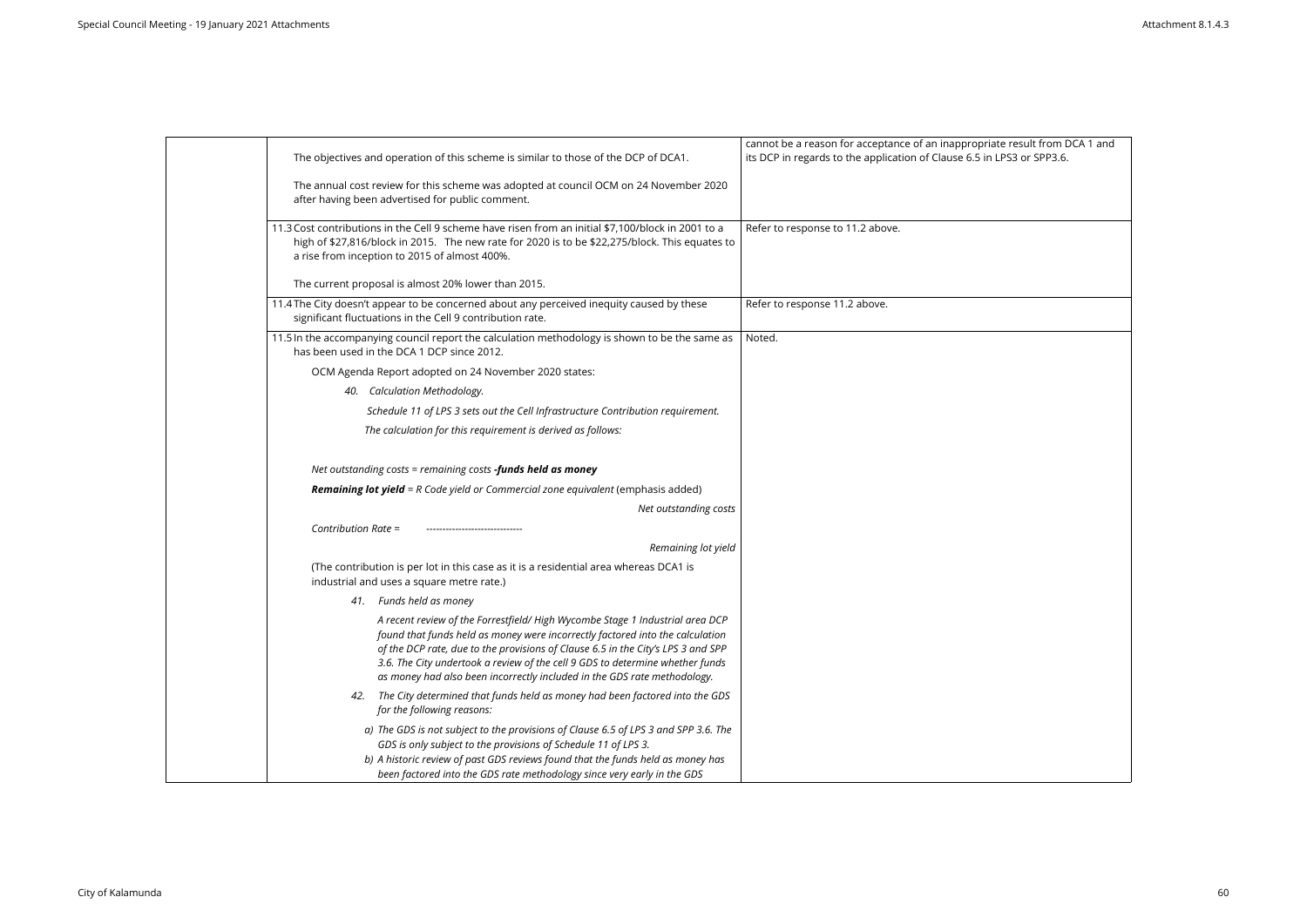| cannot be a reason for acceptance of an inappropriate result from DCA 1 and<br>its DCP in regards to the application of Clause 6.5 in LPS3 or SPP3.6.<br>The objectives and operation of this scheme is similar to those of the DCP of DCA1.                                                                                                                                                                    |
|-----------------------------------------------------------------------------------------------------------------------------------------------------------------------------------------------------------------------------------------------------------------------------------------------------------------------------------------------------------------------------------------------------------------|
| The annual cost review for this scheme was adopted at council OCM on 24 November 2020                                                                                                                                                                                                                                                                                                                           |
| 11.3 Cost contributions in the Cell 9 scheme have risen from an initial \$7,100/block in 2001 to a<br>Refer to response to 11.2 above.<br>high of \$27,816/block in 2015. The new rate for 2020 is to be \$22,275/block. This equates to                                                                                                                                                                        |
|                                                                                                                                                                                                                                                                                                                                                                                                                 |
| 11.4 The City doesn't appear to be concerned about any perceived inequity caused by these<br>Refer to response 11.2 above.                                                                                                                                                                                                                                                                                      |
| Noted.<br>11.5 In the accompanying council report the calculation methodology is shown to be the same as                                                                                                                                                                                                                                                                                                        |
|                                                                                                                                                                                                                                                                                                                                                                                                                 |
|                                                                                                                                                                                                                                                                                                                                                                                                                 |
| Schedule 11 of LPS 3 sets out the Cell Infrastructure Contribution requirement.                                                                                                                                                                                                                                                                                                                                 |
|                                                                                                                                                                                                                                                                                                                                                                                                                 |
|                                                                                                                                                                                                                                                                                                                                                                                                                 |
| <b>Remaining lot yield</b> = R Code yield or Commercial zone equivalent (emphasis added)                                                                                                                                                                                                                                                                                                                        |
| Net outstanding costs                                                                                                                                                                                                                                                                                                                                                                                           |
|                                                                                                                                                                                                                                                                                                                                                                                                                 |
| Remaining lot yield                                                                                                                                                                                                                                                                                                                                                                                             |
| (The contribution is per lot in this case as it is a residential area whereas DCA1 is                                                                                                                                                                                                                                                                                                                           |
|                                                                                                                                                                                                                                                                                                                                                                                                                 |
| A recent review of the Forrestfield/ High Wycombe Stage 1 Industrial area DCP<br>found that funds held as money were incorrectly factored into the calculation<br>of the DCP rate, due to the provisions of Clause 6.5 in the City's LPS 3 and SPP<br>3.6. The City undertook a review of the cell 9 GDS to determine whether funds<br>as money had also been incorrectly included in the GDS rate methodology. |
| The City determined that funds held as money had been factored into the GDS                                                                                                                                                                                                                                                                                                                                     |
| a) The GDS is not subject to the provisions of Clause 6.5 of LPS 3 and SPP 3.6. The<br>b) A historic review of past GDS reviews found that the funds held as money has                                                                                                                                                                                                                                          |
| been factored into the GDS rate methodology since very early in the GDS                                                                                                                                                                                                                                                                                                                                         |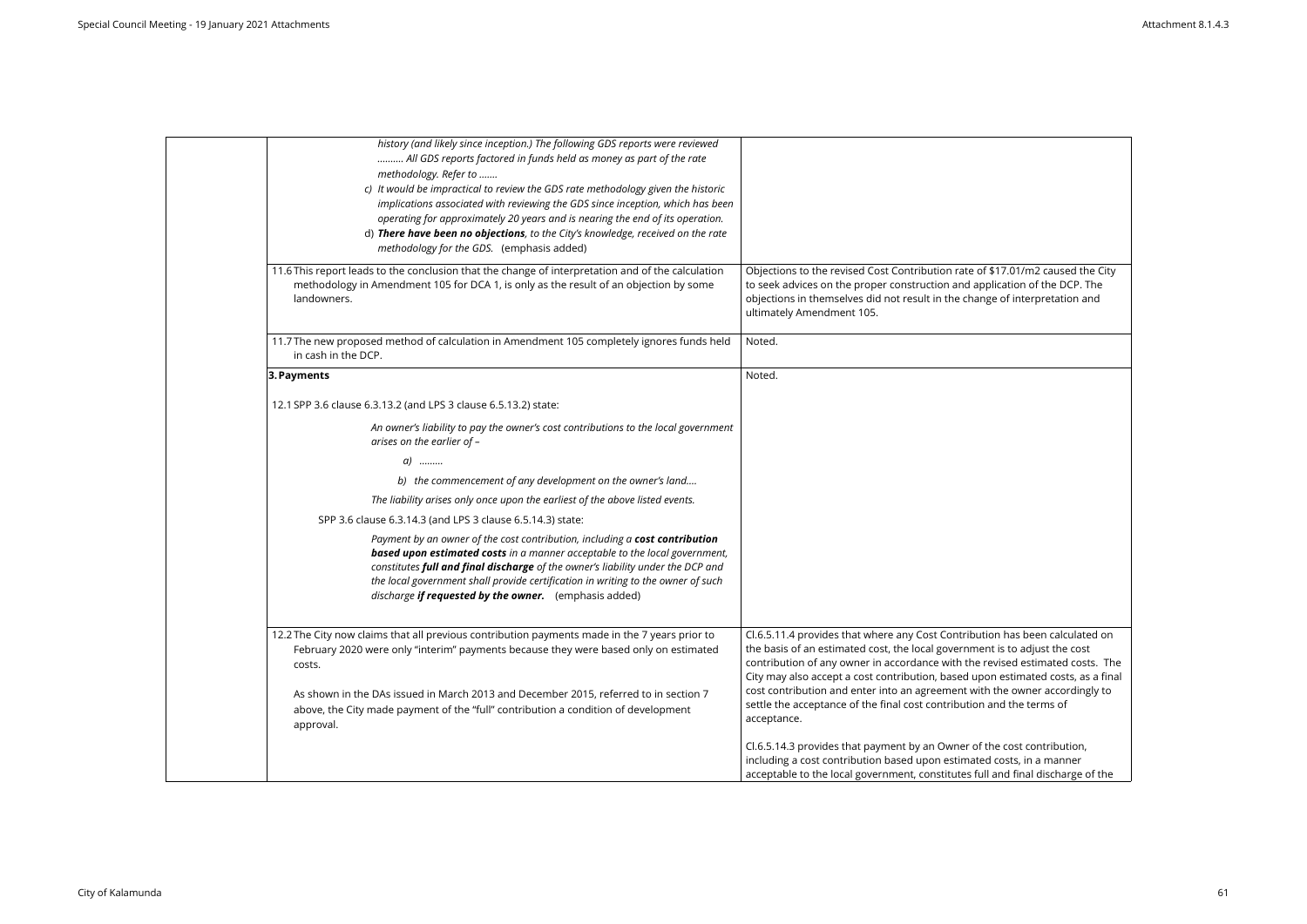| history (and likely since inception.) The following GDS reports were reviewed<br>All GDS reports factored in funds held as money as part of the rate<br>methodology. Refer to<br>c) It would be impractical to review the GDS rate methodology given the historic<br>implications associated with reviewing the GDS since inception, which has been<br>operating for approximately 20 years and is nearing the end of its operation.<br>d) There have been no objections, to the City's knowledge, received on the rate<br>methodology for the GDS. (emphasis added) |                                                                                                                                                                                                                                                                                                                                                                                                                |
|----------------------------------------------------------------------------------------------------------------------------------------------------------------------------------------------------------------------------------------------------------------------------------------------------------------------------------------------------------------------------------------------------------------------------------------------------------------------------------------------------------------------------------------------------------------------|----------------------------------------------------------------------------------------------------------------------------------------------------------------------------------------------------------------------------------------------------------------------------------------------------------------------------------------------------------------------------------------------------------------|
| 11.6 This report leads to the conclusion that the change of interpretation and of the calculation<br>methodology in Amendment 105 for DCA 1, is only as the result of an objection by some<br>landowners.                                                                                                                                                                                                                                                                                                                                                            | Objections to the revised Cost Contribution rate of \$17.01/m2 caused the City<br>to seek advices on the proper construction and application of the DCP. The<br>objections in themselves did not result in the change of interpretation and<br>ultimately Amendment 105.                                                                                                                                       |
| 11.7 The new proposed method of calculation in Amendment 105 completely ignores funds held<br>in cash in the DCP.                                                                                                                                                                                                                                                                                                                                                                                                                                                    | Noted.                                                                                                                                                                                                                                                                                                                                                                                                         |
| 3. Payments                                                                                                                                                                                                                                                                                                                                                                                                                                                                                                                                                          | Noted.                                                                                                                                                                                                                                                                                                                                                                                                         |
| 12.1 SPP 3.6 clause 6.3.13.2 (and LPS 3 clause 6.5.13.2) state:                                                                                                                                                                                                                                                                                                                                                                                                                                                                                                      |                                                                                                                                                                                                                                                                                                                                                                                                                |
| An owner's liability to pay the owner's cost contributions to the local government<br>arises on the earlier of -                                                                                                                                                                                                                                                                                                                                                                                                                                                     |                                                                                                                                                                                                                                                                                                                                                                                                                |
| $a)$                                                                                                                                                                                                                                                                                                                                                                                                                                                                                                                                                                 |                                                                                                                                                                                                                                                                                                                                                                                                                |
| b) the commencement of any development on the owner's land                                                                                                                                                                                                                                                                                                                                                                                                                                                                                                           |                                                                                                                                                                                                                                                                                                                                                                                                                |
| The liability arises only once upon the earliest of the above listed events.                                                                                                                                                                                                                                                                                                                                                                                                                                                                                         |                                                                                                                                                                                                                                                                                                                                                                                                                |
| SPP 3.6 clause 6.3.14.3 (and LPS 3 clause 6.5.14.3) state:                                                                                                                                                                                                                                                                                                                                                                                                                                                                                                           |                                                                                                                                                                                                                                                                                                                                                                                                                |
| Payment by an owner of the cost contribution, including a cost contribution<br><b>based upon estimated costs</b> in a manner acceptable to the local government,<br>constitutes full and final discharge of the owner's liability under the DCP and<br>the local government shall provide certification in writing to the owner of such<br>discharge if requested by the owner. (emphasis added)                                                                                                                                                                     |                                                                                                                                                                                                                                                                                                                                                                                                                |
| 12.2 The City now claims that all previous contribution payments made in the 7 years prior to<br>February 2020 were only "interim" payments because they were based only on estimated<br>costs.<br>As shown in the DAs issued in March 2013 and December 2015, referred to in section 7                                                                                                                                                                                                                                                                              | Cl.6.5.11.4 provides that where any Cost Contribution has been calculated on<br>the basis of an estimated cost, the local government is to adjust the cost<br>contribution of any owner in accordance with the revised estimated costs. The<br>City may also accept a cost contribution, based upon estimated costs, as a final<br>cost contribution and enter into an agreement with the owner accordingly to |
| above, the City made payment of the "full" contribution a condition of development<br>approval.                                                                                                                                                                                                                                                                                                                                                                                                                                                                      | settle the acceptance of the final cost contribution and the terms of<br>acceptance.                                                                                                                                                                                                                                                                                                                           |
|                                                                                                                                                                                                                                                                                                                                                                                                                                                                                                                                                                      | Cl.6.5.14.3 provides that payment by an Owner of the cost contribution,<br>including a cost contribution based upon estimated costs, in a manner<br>acceptable to the local government, constitutes full and final discharge of the                                                                                                                                                                            |

| \$17.01/m2 caused the City<br>plication of the DCP. The<br>ge of interpretation and                                                                                    |
|------------------------------------------------------------------------------------------------------------------------------------------------------------------------|
|                                                                                                                                                                        |
|                                                                                                                                                                        |
| on has been calculated on<br>าt is to adjust the cost<br>evised estimated costs. The<br>on estimated costs, as a final<br>the owner accordingly to<br>and the terms of |
| he cost contribution,<br>d costs, in a manner                                                                                                                          |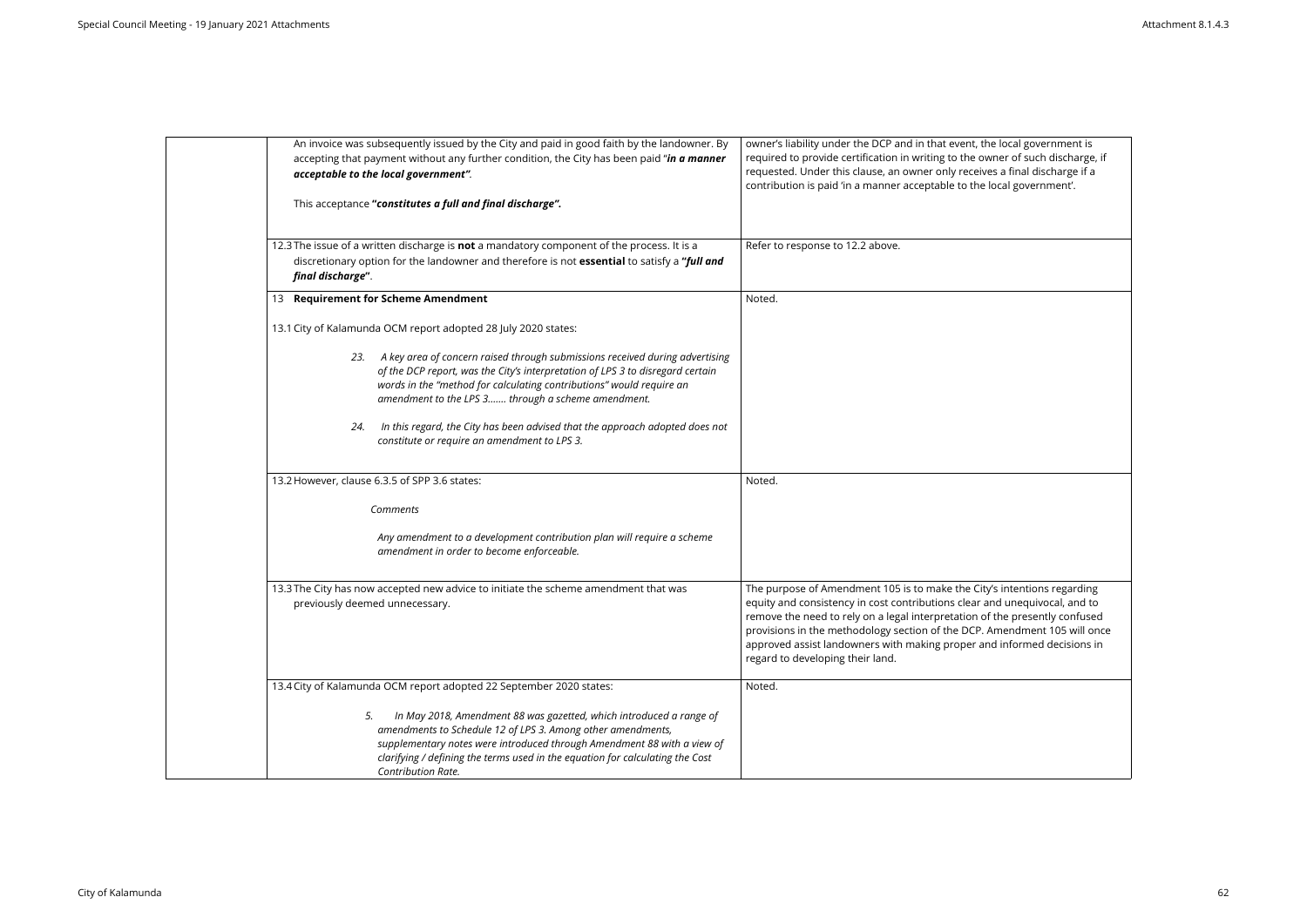| An invoice was subsequently issued by the City and paid in good faith by the landowner. By<br>accepting that payment without any further condition, the City has been paid "in a manner<br>acceptable to the local government".                                                                                            | owner's liability under the DCP and in that event, the local government is<br>required to provide certification in writing to the owner of such discharge, if<br>requested. Under this clause, an owner only receives a final discharge if a<br>contribution is paid 'in a manner acceptable to the local government'.                                                                                                           |
|----------------------------------------------------------------------------------------------------------------------------------------------------------------------------------------------------------------------------------------------------------------------------------------------------------------------------|----------------------------------------------------------------------------------------------------------------------------------------------------------------------------------------------------------------------------------------------------------------------------------------------------------------------------------------------------------------------------------------------------------------------------------|
| This acceptance "constitutes a full and final discharge".                                                                                                                                                                                                                                                                  |                                                                                                                                                                                                                                                                                                                                                                                                                                  |
| 12.3 The issue of a written discharge is not a mandatory component of the process. It is a<br>discretionary option for the landowner and therefore is not essential to satisfy a "full and<br>final discharge".                                                                                                            | Refer to response to 12.2 above.                                                                                                                                                                                                                                                                                                                                                                                                 |
| 13 Requirement for Scheme Amendment                                                                                                                                                                                                                                                                                        | Noted.                                                                                                                                                                                                                                                                                                                                                                                                                           |
| 13.1 City of Kalamunda OCM report adopted 28 July 2020 states:                                                                                                                                                                                                                                                             |                                                                                                                                                                                                                                                                                                                                                                                                                                  |
| 23. A key area of concern raised through submissions received during advertising<br>of the DCP report, was the City's interpretation of LPS 3 to disregard certain<br>words in the "method for calculating contributions" would require an<br>amendment to the LPS 3 through a scheme amendment.                           |                                                                                                                                                                                                                                                                                                                                                                                                                                  |
| In this regard, the City has been advised that the approach adopted does not<br>24.<br>constitute or require an amendment to LPS 3.                                                                                                                                                                                        |                                                                                                                                                                                                                                                                                                                                                                                                                                  |
| 13.2 However, clause 6.3.5 of SPP 3.6 states:                                                                                                                                                                                                                                                                              | Noted.                                                                                                                                                                                                                                                                                                                                                                                                                           |
| Comments                                                                                                                                                                                                                                                                                                                   |                                                                                                                                                                                                                                                                                                                                                                                                                                  |
| Any amendment to a development contribution plan will require a scheme<br>amendment in order to become enforceable.                                                                                                                                                                                                        |                                                                                                                                                                                                                                                                                                                                                                                                                                  |
| 13.3 The City has now accepted new advice to initiate the scheme amendment that was<br>previously deemed unnecessary.                                                                                                                                                                                                      | The purpose of Amendment 105 is to make the City's intentions regarding<br>equity and consistency in cost contributions clear and unequivocal, and to<br>remove the need to rely on a legal interpretation of the presently confused<br>provisions in the methodology section of the DCP. Amendment 105 will once<br>approved assist landowners with making proper and informed decisions in<br>regard to developing their land. |
| 13.4 City of Kalamunda OCM report adopted 22 September 2020 states:                                                                                                                                                                                                                                                        | Noted.                                                                                                                                                                                                                                                                                                                                                                                                                           |
| In May 2018, Amendment 88 was gazetted, which introduced a range of<br>5.<br>amendments to Schedule 12 of LPS 3. Among other amendments,<br>supplementary notes were introduced through Amendment 88 with a view of<br>clarifying / defining the terms used in the equation for calculating the Cost<br>Contribution Rate. |                                                                                                                                                                                                                                                                                                                                                                                                                                  |

| the local government is     |
|-----------------------------|
|                             |
| owner of such discharge, if |
|                             |
| ives a final discharge if a |
| e local government'.        |
|                             |
|                             |
|                             |
|                             |
|                             |
|                             |
|                             |
|                             |
|                             |
|                             |
|                             |
|                             |
|                             |
|                             |
|                             |
|                             |
|                             |
|                             |
|                             |
|                             |
|                             |
|                             |
|                             |
|                             |
|                             |
|                             |
|                             |
|                             |
|                             |
|                             |
|                             |
|                             |
|                             |
|                             |
|                             |
|                             |
|                             |
|                             |
|                             |
|                             |
|                             |
| ity's intentions regarding  |
|                             |
| r and unequivocal, and to   |
| of the presently confused   |
|                             |
| P. Amendment 105 will once  |
| and informed decisions in   |
|                             |
|                             |
|                             |
|                             |
|                             |
|                             |
|                             |
|                             |
|                             |
|                             |
|                             |
|                             |
|                             |
|                             |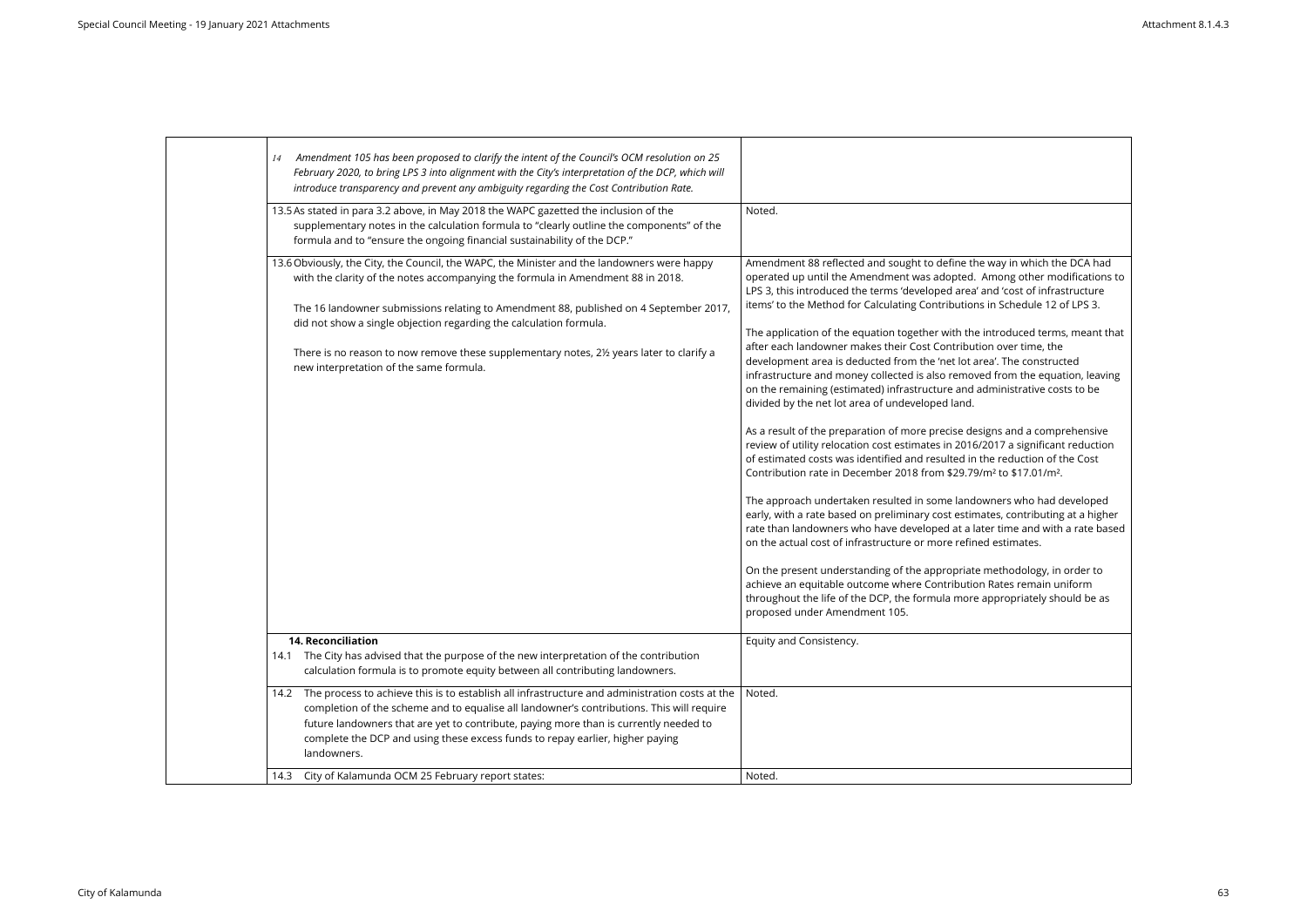| Amendment 105 has been proposed to clarify the intent of the Council's OCM resolution on 25<br>14<br>February 2020, to bring LPS 3 into alignment with the City's interpretation of the DCP, which will<br>introduce transparency and prevent any ambiguity regarding the Cost Contribution Rate.                                                                                                                                                                                   |                                                                                                                                                                                                                                                                                                                                                                                                                                                                                                                                                                                                                                                                                                                                                                                                                                                                                                                                                                                                                                                                                                                                                                                                                                                                                                                                                                                                                                                                                                                                                                                                                                                                                                              |
|-------------------------------------------------------------------------------------------------------------------------------------------------------------------------------------------------------------------------------------------------------------------------------------------------------------------------------------------------------------------------------------------------------------------------------------------------------------------------------------|--------------------------------------------------------------------------------------------------------------------------------------------------------------------------------------------------------------------------------------------------------------------------------------------------------------------------------------------------------------------------------------------------------------------------------------------------------------------------------------------------------------------------------------------------------------------------------------------------------------------------------------------------------------------------------------------------------------------------------------------------------------------------------------------------------------------------------------------------------------------------------------------------------------------------------------------------------------------------------------------------------------------------------------------------------------------------------------------------------------------------------------------------------------------------------------------------------------------------------------------------------------------------------------------------------------------------------------------------------------------------------------------------------------------------------------------------------------------------------------------------------------------------------------------------------------------------------------------------------------------------------------------------------------------------------------------------------------|
| 13.5 As stated in para 3.2 above, in May 2018 the WAPC gazetted the inclusion of the<br>supplementary notes in the calculation formula to "clearly outline the components" of the<br>formula and to "ensure the ongoing financial sustainability of the DCP."                                                                                                                                                                                                                       | Noted.                                                                                                                                                                                                                                                                                                                                                                                                                                                                                                                                                                                                                                                                                                                                                                                                                                                                                                                                                                                                                                                                                                                                                                                                                                                                                                                                                                                                                                                                                                                                                                                                                                                                                                       |
| 13.6 Obviously, the City, the Council, the WAPC, the Minister and the landowners were happy<br>with the clarity of the notes accompanying the formula in Amendment 88 in 2018.<br>The 16 landowner submissions relating to Amendment 88, published on 4 September 2017,<br>did not show a single objection regarding the calculation formula.<br>There is no reason to now remove these supplementary notes, 2½ years later to clarify a<br>new interpretation of the same formula. | Amendment 88 reflected and sought to define the way in which the DCA had<br>operated up until the Amendment was adopted. Among other modifications to<br>LPS 3, this introduced the terms 'developed area' and 'cost of infrastructure<br>items' to the Method for Calculating Contributions in Schedule 12 of LPS 3.<br>The application of the equation together with the introduced terms, meant that<br>after each landowner makes their Cost Contribution over time, the<br>development area is deducted from the 'net lot area'. The constructed<br>infrastructure and money collected is also removed from the equation, leaving<br>on the remaining (estimated) infrastructure and administrative costs to be<br>divided by the net lot area of undeveloped land.<br>As a result of the preparation of more precise designs and a comprehensive<br>review of utility relocation cost estimates in 2016/2017 a significant reduction<br>of estimated costs was identified and resulted in the reduction of the Cost<br>Contribution rate in December 2018 from \$29.79/m <sup>2</sup> to \$17.01/m <sup>2</sup> .<br>The approach undertaken resulted in some landowners who had developed<br>early, with a rate based on preliminary cost estimates, contributing at a higher<br>rate than landowners who have developed at a later time and with a rate based<br>on the actual cost of infrastructure or more refined estimates.<br>On the present understanding of the appropriate methodology, in order to<br>achieve an equitable outcome where Contribution Rates remain uniform<br>throughout the life of the DCP, the formula more appropriately should be as<br>proposed under Amendment 105. |
| <b>14. Reconciliation</b><br>14.1 The City has advised that the purpose of the new interpretation of the contribution<br>calculation formula is to promote equity between all contributing landowners.                                                                                                                                                                                                                                                                              | Equity and Consistency.                                                                                                                                                                                                                                                                                                                                                                                                                                                                                                                                                                                                                                                                                                                                                                                                                                                                                                                                                                                                                                                                                                                                                                                                                                                                                                                                                                                                                                                                                                                                                                                                                                                                                      |
| The process to achieve this is to establish all infrastructure and administration costs at the<br>14.2<br>completion of the scheme and to equalise all landowner's contributions. This will require<br>future landowners that are yet to contribute, paying more than is currently needed to<br>complete the DCP and using these excess funds to repay earlier, higher paying<br>landowners.                                                                                        | Noted.                                                                                                                                                                                                                                                                                                                                                                                                                                                                                                                                                                                                                                                                                                                                                                                                                                                                                                                                                                                                                                                                                                                                                                                                                                                                                                                                                                                                                                                                                                                                                                                                                                                                                                       |
| City of Kalamunda OCM 25 February report states:<br>14.3                                                                                                                                                                                                                                                                                                                                                                                                                            | Noted.                                                                                                                                                                                                                                                                                                                                                                                                                                                                                                                                                                                                                                                                                                                                                                                                                                                                                                                                                                                                                                                                                                                                                                                                                                                                                                                                                                                                                                                                                                                                                                                                                                                                                                       |
|                                                                                                                                                                                                                                                                                                                                                                                                                                                                                     |                                                                                                                                                                                                                                                                                                                                                                                                                                                                                                                                                                                                                                                                                                                                                                                                                                                                                                                                                                                                                                                                                                                                                                                                                                                                                                                                                                                                                                                                                                                                                                                                                                                                                                              |

| way in which the DCA had<br>mong other modifications to<br>nd 'cost of infrastructure<br>in Schedule 12 of LPS 3.                   |
|-------------------------------------------------------------------------------------------------------------------------------------|
| ntroduced terms, meant that<br>n over time, the<br>a'. The constructed<br>d from the equation, leaving<br>Iministrative costs to be |
| gns and a comprehensive<br>017 a significant reduction<br>e reduction of the Cost<br>n <sup>2</sup> to \$17.01/m <sup>2</sup> .     |
| vners who had developed<br>tes, contributing at a higher<br>er time and with a rate based<br>d estimates.                           |
| nethodology, in order to<br>Rates remain uniform<br>ppropriately should be as                                                       |
|                                                                                                                                     |
|                                                                                                                                     |
|                                                                                                                                     |
|                                                                                                                                     |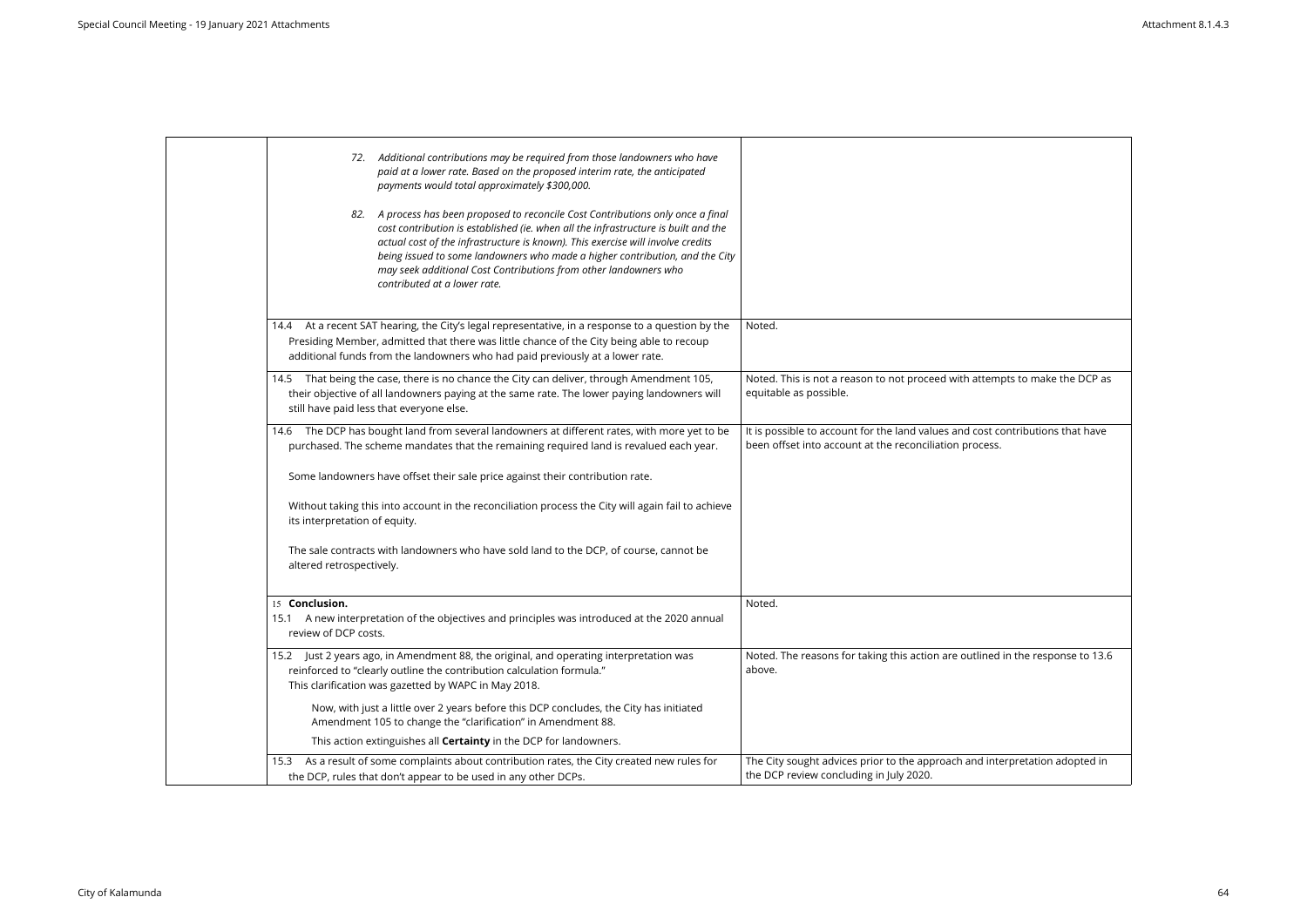| 72. Additional contributions may be required from those landowners who have<br>paid at a lower rate. Based on the proposed interim rate, the anticipated<br>payments would total approximately \$300,000.<br>A process has been proposed to reconcile Cost Contributions only once a final<br>82.<br>cost contribution is established (ie. when all the infrastructure is built and the<br>actual cost of the infrastructure is known). This exercise will involve credits<br>being issued to some landowners who made a higher contribution, and the City |                                                                                                                                           |
|------------------------------------------------------------------------------------------------------------------------------------------------------------------------------------------------------------------------------------------------------------------------------------------------------------------------------------------------------------------------------------------------------------------------------------------------------------------------------------------------------------------------------------------------------------|-------------------------------------------------------------------------------------------------------------------------------------------|
| may seek additional Cost Contributions from other landowners who<br>contributed at a lower rate.                                                                                                                                                                                                                                                                                                                                                                                                                                                           |                                                                                                                                           |
| At a recent SAT hearing, the City's legal representative, in a response to a question by the<br>14.4<br>Presiding Member, admitted that there was little chance of the City being able to recoup<br>additional funds from the landowners who had paid previously at a lower rate.                                                                                                                                                                                                                                                                          | Noted.                                                                                                                                    |
| That being the case, there is no chance the City can deliver, through Amendment 105,<br>14.5<br>their objective of all landowners paying at the same rate. The lower paying landowners will<br>still have paid less that everyone else.                                                                                                                                                                                                                                                                                                                    | Noted. This is not a reason to not proceed with attempts to make the DCP as<br>equitable as possible.                                     |
| 14.6 The DCP has bought land from several landowners at different rates, with more yet to be<br>purchased. The scheme mandates that the remaining required land is revalued each year.                                                                                                                                                                                                                                                                                                                                                                     | It is possible to account for the land values and cost contributions that have<br>been offset into account at the reconciliation process. |
| Some landowners have offset their sale price against their contribution rate.                                                                                                                                                                                                                                                                                                                                                                                                                                                                              |                                                                                                                                           |
| Without taking this into account in the reconciliation process the City will again fail to achieve<br>its interpretation of equity.                                                                                                                                                                                                                                                                                                                                                                                                                        |                                                                                                                                           |
| The sale contracts with landowners who have sold land to the DCP, of course, cannot be<br>altered retrospectively.                                                                                                                                                                                                                                                                                                                                                                                                                                         |                                                                                                                                           |
| 15 Conclusion.<br>A new interpretation of the objectives and principles was introduced at the 2020 annual<br>15.1<br>review of DCP costs.                                                                                                                                                                                                                                                                                                                                                                                                                  | Noted.                                                                                                                                    |
| 15.2 Just 2 years ago, in Amendment 88, the original, and operating interpretation was<br>reinforced to "clearly outline the contribution calculation formula."<br>This clarification was gazetted by WAPC in May 2018.                                                                                                                                                                                                                                                                                                                                    | Noted. The reasons for taking this action are outlined in the response to 13.6<br>above.                                                  |
| Now, with just a little over 2 years before this DCP concludes, the City has initiated<br>Amendment 105 to change the "clarification" in Amendment 88.                                                                                                                                                                                                                                                                                                                                                                                                     |                                                                                                                                           |
| This action extinguishes all <b>Certainty</b> in the DCP for landowners.                                                                                                                                                                                                                                                                                                                                                                                                                                                                                   |                                                                                                                                           |
| As a result of some complaints about contribution rates, the City created new rules for<br>15.3<br>the DCP, rules that don't appear to be used in any other DCPs.                                                                                                                                                                                                                                                                                                                                                                                          | The City sought advices prior to the approach and interpretation adopted in<br>the DCP review concluding in July 2020.                    |
|                                                                                                                                                                                                                                                                                                                                                                                                                                                                                                                                                            |                                                                                                                                           |

| empts to make the DCP as         |
|----------------------------------|
| t contributions that have<br>SS. |
|                                  |
| ed in the response to 13.6       |
| interpretation adopted in        |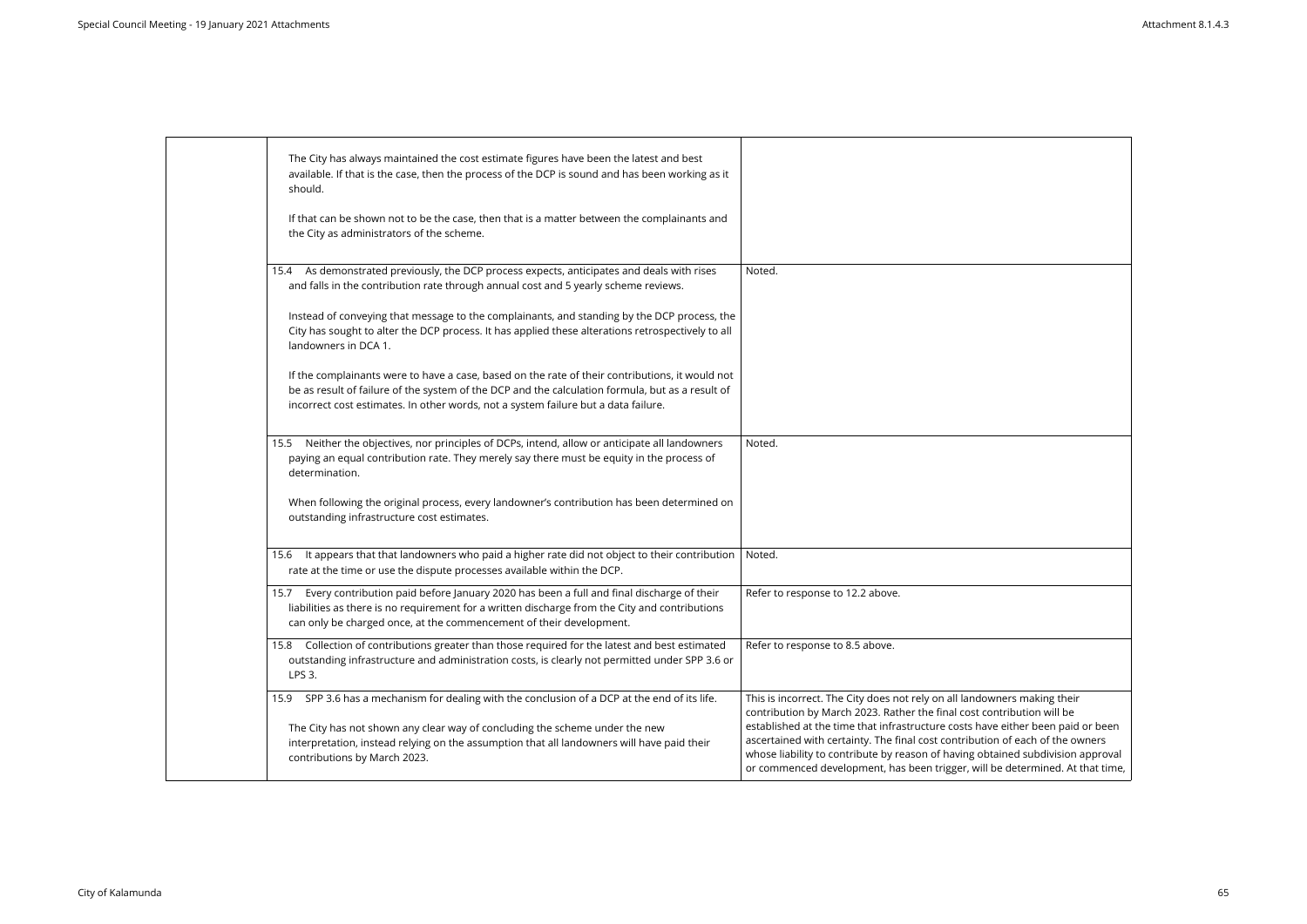| The City has always maintained the cost estimate figures have been the latest and best<br>available. If that is the case, then the process of the DCP is sound and has been working as it<br>should.<br>If that can be shown not to be the case, then that is a matter between the complainants and<br>the City as administrators of the scheme.<br>As demonstrated previously, the DCP process expects, anticipates and deals with rises<br>Noted.<br>15.4<br>and falls in the contribution rate through annual cost and 5 yearly scheme reviews.<br>Instead of conveying that message to the complainants, and standing by the DCP process, the<br>City has sought to alter the DCP process. It has applied these alterations retrospectively to all<br>landowners in DCA 1.<br>If the complainants were to have a case, based on the rate of their contributions, it would not<br>be as result of failure of the system of the DCP and the calculation formula, but as a result of<br>incorrect cost estimates. In other words, not a system failure but a data failure.<br>Neither the objectives, nor principles of DCPs, intend, allow or anticipate all landowners<br>Noted.<br>15.5<br>paying an equal contribution rate. They merely say there must be equity in the process of |  |                                                                                                                                                                                                                                                                                                                                     |
|------------------------------------------------------------------------------------------------------------------------------------------------------------------------------------------------------------------------------------------------------------------------------------------------------------------------------------------------------------------------------------------------------------------------------------------------------------------------------------------------------------------------------------------------------------------------------------------------------------------------------------------------------------------------------------------------------------------------------------------------------------------------------------------------------------------------------------------------------------------------------------------------------------------------------------------------------------------------------------------------------------------------------------------------------------------------------------------------------------------------------------------------------------------------------------------------------------------------------------------------------------------------------------------|--|-------------------------------------------------------------------------------------------------------------------------------------------------------------------------------------------------------------------------------------------------------------------------------------------------------------------------------------|
|                                                                                                                                                                                                                                                                                                                                                                                                                                                                                                                                                                                                                                                                                                                                                                                                                                                                                                                                                                                                                                                                                                                                                                                                                                                                                          |  |                                                                                                                                                                                                                                                                                                                                     |
|                                                                                                                                                                                                                                                                                                                                                                                                                                                                                                                                                                                                                                                                                                                                                                                                                                                                                                                                                                                                                                                                                                                                                                                                                                                                                          |  |                                                                                                                                                                                                                                                                                                                                     |
|                                                                                                                                                                                                                                                                                                                                                                                                                                                                                                                                                                                                                                                                                                                                                                                                                                                                                                                                                                                                                                                                                                                                                                                                                                                                                          |  |                                                                                                                                                                                                                                                                                                                                     |
|                                                                                                                                                                                                                                                                                                                                                                                                                                                                                                                                                                                                                                                                                                                                                                                                                                                                                                                                                                                                                                                                                                                                                                                                                                                                                          |  |                                                                                                                                                                                                                                                                                                                                     |
|                                                                                                                                                                                                                                                                                                                                                                                                                                                                                                                                                                                                                                                                                                                                                                                                                                                                                                                                                                                                                                                                                                                                                                                                                                                                                          |  |                                                                                                                                                                                                                                                                                                                                     |
| determination.                                                                                                                                                                                                                                                                                                                                                                                                                                                                                                                                                                                                                                                                                                                                                                                                                                                                                                                                                                                                                                                                                                                                                                                                                                                                           |  |                                                                                                                                                                                                                                                                                                                                     |
| When following the original process, every landowner's contribution has been determined on<br>outstanding infrastructure cost estimates.                                                                                                                                                                                                                                                                                                                                                                                                                                                                                                                                                                                                                                                                                                                                                                                                                                                                                                                                                                                                                                                                                                                                                 |  |                                                                                                                                                                                                                                                                                                                                     |
| It appears that that landowners who paid a higher rate did not object to their contribution<br>Noted.<br>15.6<br>rate at the time or use the dispute processes available within the DCP.                                                                                                                                                                                                                                                                                                                                                                                                                                                                                                                                                                                                                                                                                                                                                                                                                                                                                                                                                                                                                                                                                                 |  |                                                                                                                                                                                                                                                                                                                                     |
| Every contribution paid before January 2020 has been a full and final discharge of their<br>Refer to response to 12.2 above.<br>15.7<br>liabilities as there is no requirement for a written discharge from the City and contributions<br>can only be charged once, at the commencement of their development.                                                                                                                                                                                                                                                                                                                                                                                                                                                                                                                                                                                                                                                                                                                                                                                                                                                                                                                                                                            |  |                                                                                                                                                                                                                                                                                                                                     |
| Collection of contributions greater than those required for the latest and best estimated<br>Refer to response to 8.5 above.<br>15.8<br>outstanding infrastructure and administration costs, is clearly not permitted under SPP 3.6 or<br>LPS 3.                                                                                                                                                                                                                                                                                                                                                                                                                                                                                                                                                                                                                                                                                                                                                                                                                                                                                                                                                                                                                                         |  |                                                                                                                                                                                                                                                                                                                                     |
| SPP 3.6 has a mechanism for dealing with the conclusion of a DCP at the end of its life.<br>This is incorrect. The City does not rely on all landowners making their<br>15.9<br>contribution by March 2023. Rather the final cost contribution will be<br>The City has not shown any clear way of concluding the scheme under the new<br>interpretation, instead relying on the assumption that all landowners will have paid their<br>contributions by March 2023.                                                                                                                                                                                                                                                                                                                                                                                                                                                                                                                                                                                                                                                                                                                                                                                                                      |  | established at the time that infrastructure costs have either been paid or been<br>ascertained with certainty. The final cost contribution of each of the owners<br>whose liability to contribute by reason of having obtained subdivision approval<br>or commenced development, has been trigger, will be determined. At that time |